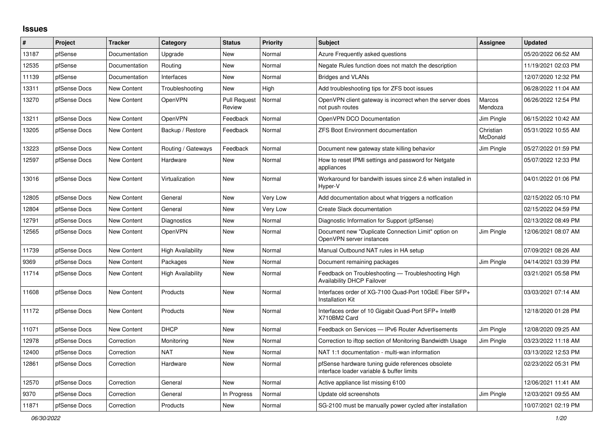## **Issues**

| #     | Project      | <b>Tracker</b>     | Category                 | <b>Status</b>                 | Priority | <b>Subject</b>                                                                                 | <b>Assignee</b>          | <b>Updated</b>      |
|-------|--------------|--------------------|--------------------------|-------------------------------|----------|------------------------------------------------------------------------------------------------|--------------------------|---------------------|
| 13187 | pfSense      | Documentation      | Upgrade                  | <b>New</b>                    | Normal   | Azure Frequently asked questions                                                               |                          | 05/20/2022 06:52 AM |
| 12535 | pfSense      | Documentation      | Routing                  | <b>New</b>                    | Normal   | Negate Rules function does not match the description                                           |                          | 11/19/2021 02:03 PM |
| 11139 | pfSense      | Documentation      | Interfaces               | <b>New</b>                    | Normal   | <b>Bridges and VLANs</b>                                                                       |                          | 12/07/2020 12:32 PM |
| 13311 | pfSense Docs | <b>New Content</b> | Troubleshooting          | <b>New</b>                    | High     | Add troubleshooting tips for ZFS boot issues                                                   |                          | 06/28/2022 11:04 AM |
| 13270 | pfSense Docs | <b>New Content</b> | OpenVPN                  | <b>Pull Request</b><br>Review | Normal   | OpenVPN client gateway is incorrect when the server does<br>not push routes                    | <b>Marcos</b><br>Mendoza | 06/26/2022 12:54 PM |
| 13211 | pfSense Docs | New Content        | OpenVPN                  | Feedback                      | Normal   | OpenVPN DCO Documentation                                                                      | Jim Pingle               | 06/15/2022 10:42 AM |
| 13205 | pfSense Docs | <b>New Content</b> | Backup / Restore         | Feedback                      | Normal   | <b>ZFS Boot Environment documentation</b>                                                      | Christian<br>McDonald    | 05/31/2022 10:55 AM |
| 13223 | pfSense Docs | <b>New Content</b> | Routing / Gateways       | Feedback                      | Normal   | Document new gateway state killing behavior                                                    | Jim Pingle               | 05/27/2022 01:59 PM |
| 12597 | pfSense Docs | <b>New Content</b> | Hardware                 | <b>New</b>                    | Normal   | How to reset IPMI settings and password for Netgate<br>appliances                              |                          | 05/07/2022 12:33 PM |
| 13016 | pfSense Docs | New Content        | Virtualization           | <b>New</b>                    | Normal   | Workaround for bandwith issues since 2.6 when installed in<br>Hyper-V                          |                          | 04/01/2022 01:06 PM |
| 12805 | pfSense Docs | <b>New Content</b> | General                  | <b>New</b>                    | Very Low | Add documentation about what triggers a notfication                                            |                          | 02/15/2022 05:10 PM |
| 12804 | pfSense Docs | New Content        | General                  | <b>New</b>                    | Very Low | Create Slack documentation                                                                     |                          | 02/15/2022 04:59 PM |
| 12791 | pfSense Docs | New Content        | Diagnostics              | <b>New</b>                    | Normal   | Diagnostic Information for Support (pfSense)                                                   |                          | 02/13/2022 08:49 PM |
| 12565 | pfSense Docs | <b>New Content</b> | OpenVPN                  | <b>New</b>                    | Normal   | Document new "Duplicate Connection Limit" option on<br>OpenVPN server instances                | Jim Pingle               | 12/06/2021 08:07 AM |
| 11739 | pfSense Docs | <b>New Content</b> | <b>High Availability</b> | <b>New</b>                    | Normal   | Manual Outbound NAT rules in HA setup                                                          |                          | 07/09/2021 08:26 AM |
| 9369  | pfSense Docs | <b>New Content</b> | Packages                 | <b>New</b>                    | Normal   | Document remaining packages                                                                    | Jim Pingle               | 04/14/2021 03:39 PM |
| 11714 | pfSense Docs | New Content        | <b>High Availability</b> | <b>New</b>                    | Normal   | Feedback on Troubleshooting - Troubleshooting High<br><b>Availability DHCP Failover</b>        |                          | 03/21/2021 05:58 PM |
| 11608 | pfSense Docs | New Content        | Products                 | <b>New</b>                    | Normal   | Interfaces order of XG-7100 Quad-Port 10GbE Fiber SFP+<br><b>Installation Kit</b>              |                          | 03/03/2021 07:14 AM |
| 11172 | pfSense Docs | <b>New Content</b> | Products                 | <b>New</b>                    | Normal   | Interfaces order of 10 Gigabit Quad-Port SFP+ Intel®<br>X710BM2 Card                           |                          | 12/18/2020 01:28 PM |
| 11071 | pfSense Docs | New Content        | <b>DHCP</b>              | <b>New</b>                    | Normal   | Feedback on Services - IPv6 Router Advertisements                                              | Jim Pingle               | 12/08/2020 09:25 AM |
| 12978 | pfSense Docs | Correction         | Monitoring               | <b>New</b>                    | Normal   | Correction to iftop section of Monitoring Bandwidth Usage                                      | Jim Pingle               | 03/23/2022 11:18 AM |
| 12400 | pfSense Docs | Correction         | <b>NAT</b>               | <b>New</b>                    | Normal   | NAT 1:1 documentation - multi-wan information                                                  |                          | 03/13/2022 12:53 PM |
| 12861 | pfSense Docs | Correction         | Hardware                 | <b>New</b>                    | Normal   | pfSense hardware tuning guide references obsolete<br>interface loader variable & buffer limits |                          | 02/23/2022 05:31 PM |
| 12570 | pfSense Docs | Correction         | General                  | <b>New</b>                    | Normal   | Active appliance list missing 6100                                                             |                          | 12/06/2021 11:41 AM |
| 9370  | pfSense Docs | Correction         | General                  | In Progress                   | Normal   | Update old screenshots                                                                         | Jim Pingle               | 12/03/2021 09:55 AM |
| 11871 | pfSense Docs | Correction         | Products                 | <b>New</b>                    | Normal   | SG-2100 must be manually power cycled after installation                                       |                          | 10/07/2021 02:19 PM |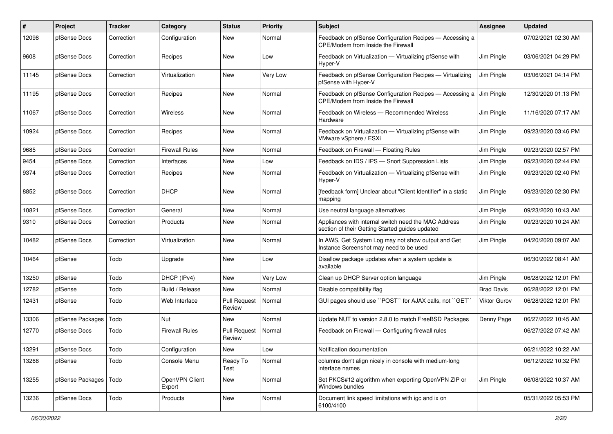| $\pmb{\#}$ | Project          | <b>Tracker</b> | Category                 | <b>Status</b>                 | Priority | <b>Subject</b>                                                                                          | Assignee            | <b>Updated</b>      |
|------------|------------------|----------------|--------------------------|-------------------------------|----------|---------------------------------------------------------------------------------------------------------|---------------------|---------------------|
| 12098      | pfSense Docs     | Correction     | Configuration            | <b>New</b>                    | Normal   | Feedback on pfSense Configuration Recipes - Accessing a<br>CPE/Modem from Inside the Firewall           |                     | 07/02/2021 02:30 AM |
| 9608       | pfSense Docs     | Correction     | Recipes                  | <b>New</b>                    | Low      | Feedback on Virtualization - Virtualizing pfSense with<br>Hyper-V                                       | Jim Pingle          | 03/06/2021 04:29 PM |
| 11145      | pfSense Docs     | Correction     | Virtualization           | New                           | Very Low | Feedback on pfSense Configuration Recipes - Virtualizing<br>pfSense with Hyper-V                        | Jim Pingle          | 03/06/2021 04:14 PM |
| 11195      | pfSense Docs     | Correction     | Recipes                  | New                           | Normal   | Feedback on pfSense Configuration Recipes - Accessing a<br>CPE/Modem from Inside the Firewall           | Jim Pingle          | 12/30/2020 01:13 PM |
| 11067      | pfSense Docs     | Correction     | Wireless                 | New                           | Normal   | Feedback on Wireless - Recommended Wireless<br>Hardware                                                 | Jim Pingle          | 11/16/2020 07:17 AM |
| 10924      | pfSense Docs     | Correction     | Recipes                  | New                           | Normal   | Feedback on Virtualization - Virtualizing pfSense with<br>VMware vSphere / ESXi                         | Jim Pingle          | 09/23/2020 03:46 PM |
| 9685       | pfSense Docs     | Correction     | <b>Firewall Rules</b>    | <b>New</b>                    | Normal   | Feedback on Firewall - Floating Rules                                                                   | Jim Pingle          | 09/23/2020 02:57 PM |
| 9454       | pfSense Docs     | Correction     | Interfaces               | <b>New</b>                    | Low      | Feedback on IDS / IPS - Snort Suppression Lists                                                         | Jim Pingle          | 09/23/2020 02:44 PM |
| 9374       | pfSense Docs     | Correction     | Recipes                  | New                           | Normal   | Feedback on Virtualization - Virtualizing pfSense with<br>Hyper-V                                       | Jim Pingle          | 09/23/2020 02:40 PM |
| 8852       | pfSense Docs     | Correction     | <b>DHCP</b>              | <b>New</b>                    | Normal   | [feedback form] Unclear about "Client Identifier" in a static<br>mapping                                | Jim Pingle          | 09/23/2020 02:30 PM |
| 10821      | pfSense Docs     | Correction     | General                  | <b>New</b>                    | Normal   | Use neutral language alternatives                                                                       | Jim Pingle          | 09/23/2020 10:43 AM |
| 9310       | pfSense Docs     | Correction     | Products                 | New                           | Normal   | Appliances with internal switch need the MAC Address<br>section of their Getting Started guides updated | Jim Pingle          | 09/23/2020 10:24 AM |
| 10482      | pfSense Docs     | Correction     | Virtualization           | New                           | Normal   | In AWS, Get System Log may not show output and Get<br>Instance Screenshot may need to be used           | Jim Pingle          | 04/20/2020 09:07 AM |
| 10464      | pfSense          | Todo           | Upgrade                  | New                           | Low      | Disallow package updates when a system update is<br>available                                           |                     | 06/30/2022 08:41 AM |
| 13250      | pfSense          | Todo           | DHCP (IPv4)              | New                           | Very Low | Clean up DHCP Server option language                                                                    | Jim Pingle          | 06/28/2022 12:01 PM |
| 12782      | pfSense          | Todo           | Build / Release          | <b>New</b>                    | Normal   | Disable compatibility flag                                                                              | <b>Brad Davis</b>   | 06/28/2022 12:01 PM |
| 12431      | pfSense          | Todo           | Web Interface            | <b>Pull Request</b><br>Review | Normal   | GUI pages should use "POST" for AJAX calls, not "GET"                                                   | <b>Viktor Gurov</b> | 06/28/2022 12:01 PM |
| 13306      | pfSense Packages | Todo           | <b>Nut</b>               | <b>New</b>                    | Normal   | Update NUT to version 2.8.0 to match FreeBSD Packages                                                   | Denny Page          | 06/27/2022 10:45 AM |
| 12770      | pfSense Docs     | Todo           | <b>Firewall Rules</b>    | <b>Pull Request</b><br>Review | Normal   | Feedback on Firewall — Configuring firewall rules                                                       |                     | 06/27/2022 07:42 AM |
| 13291      | pfSense Docs     | Todo           | Configuration            | New                           | Low      | Notification documentation                                                                              |                     | 06/21/2022 10:22 AM |
| 13268      | pfSense          | Todo           | Console Menu             | Ready To<br>Test              | Normal   | columns don't align nicely in console with medium-long<br>interface names                               |                     | 06/12/2022 10:32 PM |
| 13255      | pfSense Packages | Todo           | OpenVPN Client<br>Export | New                           | Normal   | Set PKCS#12 algorithm when exporting OpenVPN ZIP or<br>Windows bundles                                  | Jim Pingle          | 06/08/2022 10:37 AM |
| 13236      | pfSense Docs     | Todo           | Products                 | New                           | Normal   | Document link speed limitations with igc and ix on<br>6100/4100                                         |                     | 05/31/2022 05:53 PM |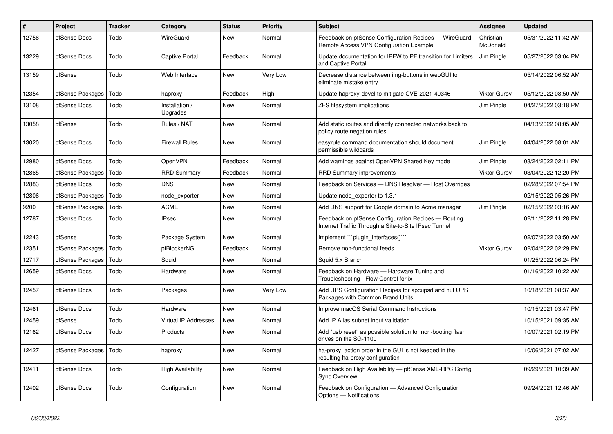| $\sharp$ | <b>Project</b>   | <b>Tracker</b> | Category                   | <b>Status</b> | <b>Priority</b> | <b>Subject</b>                                                                                              | <b>Assignee</b>       | <b>Updated</b>      |
|----------|------------------|----------------|----------------------------|---------------|-----------------|-------------------------------------------------------------------------------------------------------------|-----------------------|---------------------|
| 12756    | pfSense Docs     | Todo           | WireGuard                  | New           | Normal          | Feedback on pfSense Configuration Recipes - WireGuard<br>Remote Access VPN Configuration Example            | Christian<br>McDonald | 05/31/2022 11:42 AM |
| 13229    | pfSense Docs     | Todo           | <b>Captive Portal</b>      | Feedback      | Normal          | Update documentation for IPFW to PF transition for Limiters<br>and Captive Portal                           | Jim Pingle            | 05/27/2022 03:04 PM |
| 13159    | pfSense          | Todo           | Web Interface              | <b>New</b>    | Very Low        | Decrease distance between img-buttons in webGUI to<br>eliminate mistake entry                               |                       | 05/14/2022 06:52 AM |
| 12354    | pfSense Packages | Todo           | haproxy                    | Feedback      | High            | Update haproxy-devel to mitigate CVE-2021-40346                                                             | <b>Viktor Gurov</b>   | 05/12/2022 08:50 AM |
| 13108    | pfSense Docs     | Todo           | Installation /<br>Upgrades | <b>New</b>    | Normal          | ZFS filesystem implications                                                                                 | Jim Pingle            | 04/27/2022 03:18 PM |
| 13058    | pfSense          | Todo           | Rules / NAT                | New           | Normal          | Add static routes and directly connected networks back to<br>policy route negation rules                    |                       | 04/13/2022 08:05 AM |
| 13020    | pfSense Docs     | Todo           | <b>Firewall Rules</b>      | <b>New</b>    | Normal          | easyrule command documentation should document<br>permissible wildcards                                     | Jim Pingle            | 04/04/2022 08:01 AM |
| 12980    | pfSense Docs     | Todo           | OpenVPN                    | Feedback      | Normal          | Add warnings against OpenVPN Shared Key mode                                                                | Jim Pingle            | 03/24/2022 02:11 PM |
| 12865    | pfSense Packages | Todo           | <b>RRD Summary</b>         | Feedback      | Normal          | <b>RRD Summary improvements</b>                                                                             | <b>Viktor Gurov</b>   | 03/04/2022 12:20 PM |
| 12883    | pfSense Docs     | Todo           | <b>DNS</b>                 | New           | Normal          | Feedback on Services - DNS Resolver - Host Overrides                                                        |                       | 02/28/2022 07:54 PM |
| 12806    | pfSense Packages | Todo           | node exporter              | <b>New</b>    | Normal          | Update node exporter to 1.3.1                                                                               |                       | 02/15/2022 05:26 PM |
| 9200     | pfSense Packages | Todo           | <b>ACME</b>                | <b>New</b>    | Normal          | Add DNS support for Google domain to Acme manager                                                           | Jim Pingle            | 02/15/2022 03:16 AM |
| 12787    | pfSense Docs     | Todo           | <b>IPsec</b>               | <b>New</b>    | Normal          | Feedback on pfSense Configuration Recipes - Routing<br>Internet Traffic Through a Site-to-Site IPsec Tunnel |                       | 02/11/2022 11:28 PM |
| 12243    | pfSense          | Todo           | Package System             | <b>New</b>    | Normal          | Implement "plugin interfaces()"                                                                             |                       | 02/07/2022 03:50 AM |
| 12351    | pfSense Packages | Todo           | pfBlockerNG                | Feedback      | Normal          | Remove non-functional feeds                                                                                 | <b>Viktor Gurov</b>   | 02/04/2022 02:29 PM |
| 12717    | pfSense Packages | Todo           | Squid                      | <b>New</b>    | Normal          | Squid 5.x Branch                                                                                            |                       | 01/25/2022 06:24 PM |
| 12659    | pfSense Docs     | Todo           | Hardware                   | <b>New</b>    | Normal          | Feedback on Hardware - Hardware Tuning and<br>Troubleshooting - Flow Control for ix                         |                       | 01/16/2022 10:22 AM |
| 12457    | pfSense Docs     | Todo           | Packages                   | <b>New</b>    | Very Low        | Add UPS Configuration Recipes for apcupsd and nut UPS<br>Packages with Common Brand Units                   |                       | 10/18/2021 08:37 AM |
| 12461    | pfSense Docs     | Todo           | Hardware                   | <b>New</b>    | Normal          | Improve macOS Serial Command Instructions                                                                   |                       | 10/15/2021 03:47 PM |
| 12459    | pfSense          | Todo           | Virtual IP Addresses       | <b>New</b>    | Normal          | Add IP Alias subnet input validation                                                                        |                       | 10/15/2021 09:35 AM |
| 12162    | pfSense Docs     | Todo           | Products                   | New           | Normal          | Add "usb reset" as possible solution for non-booting flash<br>drives on the SG-1100                         |                       | 10/07/2021 02:19 PM |
| 12427    | pfSense Packages | Todo           | haproxy                    | <b>New</b>    | Normal          | ha-proxy: action order in the GUI is not keeped in the<br>resulting ha-proxy configuration                  |                       | 10/06/2021 07:02 AM |
| 12411    | pfSense Docs     | Todo           | <b>High Availability</b>   | New           | Normal          | Feedback on High Availability - pfSense XML-RPC Config<br><b>Sync Overview</b>                              |                       | 09/29/2021 10:39 AM |
| 12402    | pfSense Docs     | Todo           | Configuration              | <b>New</b>    | Normal          | Feedback on Configuration - Advanced Configuration<br>Options - Notifications                               |                       | 09/24/2021 12:46 AM |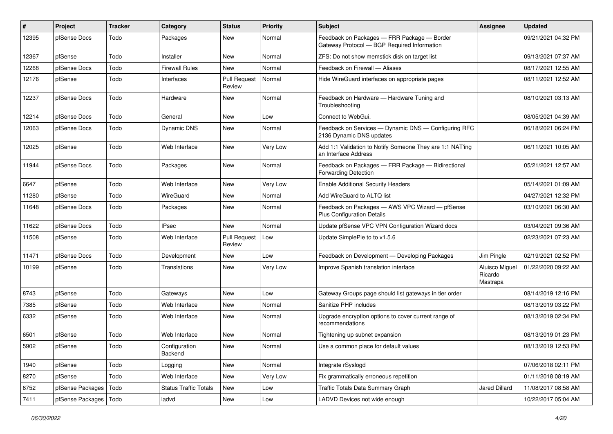| #     | Project          | Tracker | Category                     | <b>Status</b>                 | <b>Priority</b> | <b>Subject</b>                                                                             | Assignee                              | <b>Updated</b>      |
|-------|------------------|---------|------------------------------|-------------------------------|-----------------|--------------------------------------------------------------------------------------------|---------------------------------------|---------------------|
| 12395 | pfSense Docs     | Todo    | Packages                     | <b>New</b>                    | Normal          | Feedback on Packages - FRR Package - Border<br>Gateway Protocol - BGP Required Information |                                       | 09/21/2021 04:32 PM |
| 12367 | pfSense          | Todo    | Installer                    | <b>New</b>                    | Normal          | ZFS: Do not show memstick disk on target list                                              |                                       | 09/13/2021 07:37 AM |
| 12268 | pfSense Docs     | Todo    | <b>Firewall Rules</b>        | New                           | Normal          | Feedback on Firewall - Aliases                                                             |                                       | 08/17/2021 12:55 AM |
| 12176 | pfSense          | Todo    | Interfaces                   | <b>Pull Request</b><br>Review | Normal          | Hide WireGuard interfaces on appropriate pages                                             |                                       | 08/11/2021 12:52 AM |
| 12237 | pfSense Docs     | Todo    | Hardware                     | New                           | Normal          | Feedback on Hardware - Hardware Tuning and<br>Troubleshooting                              |                                       | 08/10/2021 03:13 AM |
| 12214 | pfSense Docs     | Todo    | General                      | New                           | Low             | Connect to WebGui.                                                                         |                                       | 08/05/2021 04:39 AM |
| 12063 | pfSense Docs     | Todo    | Dynamic DNS                  | <b>New</b>                    | Normal          | Feedback on Services - Dynamic DNS - Configuring RFC<br>2136 Dynamic DNS updates           |                                       | 06/18/2021 06:24 PM |
| 12025 | pfSense          | Todo    | Web Interface                | <b>New</b>                    | Very Low        | Add 1:1 Validation to Notify Someone They are 1:1 NAT'ing<br>an Interface Address          |                                       | 06/11/2021 10:05 AM |
| 11944 | pfSense Docs     | Todo    | Packages                     | New                           | Normal          | Feedback on Packages - FRR Package - Bidirectional<br><b>Forwarding Detection</b>          |                                       | 05/21/2021 12:57 AM |
| 6647  | pfSense          | Todo    | Web Interface                | <b>New</b>                    | Very Low        | <b>Enable Additional Security Headers</b>                                                  |                                       | 05/14/2021 01:09 AM |
| 11280 | pfSense          | Todo    | WireGuard                    | New                           | Normal          | Add WireGuard to ALTQ list                                                                 |                                       | 04/27/2021 12:32 PM |
| 11648 | pfSense Docs     | Todo    | Packages                     | New                           | Normal          | Feedback on Packages - AWS VPC Wizard - pfSense<br><b>Plus Configuration Details</b>       |                                       | 03/10/2021 06:30 AM |
| 11622 | pfSense Docs     | Todo    | <b>IPsec</b>                 | <b>New</b>                    | Normal          | Update pfSense VPC VPN Configuration Wizard docs                                           |                                       | 03/04/2021 09:36 AM |
| 11508 | pfSense          | Todo    | Web Interface                | <b>Pull Request</b><br>Review | Low             | Update SimplePie to to v1.5.6                                                              |                                       | 02/23/2021 07:23 AM |
| 11471 | pfSense Docs     | Todo    | Development                  | <b>New</b>                    | Low             | Feedback on Development - Developing Packages                                              | Jim Pingle                            | 02/19/2021 02:52 PM |
| 10199 | pfSense          | Todo    | Translations                 | <b>New</b>                    | Very Low        | Improve Spanish translation interface                                                      | Aluisco Miguel<br>Ricardo<br>Mastrapa | 01/22/2020 09:22 AM |
| 8743  | pfSense          | Todo    | Gateways                     | <b>New</b>                    | Low             | Gateway Groups page should list gateways in tier order                                     |                                       | 08/14/2019 12:16 PM |
| 7385  | pfSense          | Todo    | Web Interface                | New                           | Normal          | Sanitize PHP includes                                                                      |                                       | 08/13/2019 03:22 PM |
| 6332  | pfSense          | Todo    | Web Interface                | New                           | Normal          | Upgrade encryption options to cover current range of<br>recommendations                    |                                       | 08/13/2019 02:34 PM |
| 6501  | pfSense          | Todo    | Web Interface                | New                           | Normal          | Tightening up subnet expansion                                                             |                                       | 08/13/2019 01:23 PM |
| 5902  | pfSense          | Todo    | Configuration<br>Backend     | New                           | Normal          | Use a common place for default values                                                      |                                       | 08/13/2019 12:53 PM |
| 1940  | pfSense          | Todo    | Logging                      | New                           | Normal          | Integrate rSyslogd                                                                         |                                       | 07/06/2018 02:11 PM |
| 8270  | pfSense          | Todo    | Web Interface                | New                           | Very Low        | Fix grammatically erroneous repetition                                                     |                                       | 01/11/2018 08:19 AM |
| 6752  | pfSense Packages | Todo    | <b>Status Traffic Totals</b> | New                           | Low             | Traffic Totals Data Summary Graph                                                          | Jared Dillard                         | 11/08/2017 08:58 AM |
| 7411  | pfSense Packages | Todo    | ladvd                        | New                           | Low             | LADVD Devices not wide enough                                                              |                                       | 10/22/2017 05:04 AM |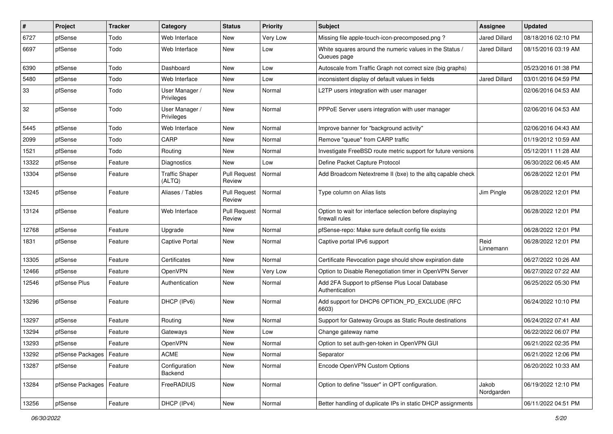| #     | Project                    | <b>Tracker</b> | Category                        | <b>Status</b>                 | <b>Priority</b> | Subject                                                                    | Assignee             | <b>Updated</b>      |
|-------|----------------------------|----------------|---------------------------------|-------------------------------|-----------------|----------------------------------------------------------------------------|----------------------|---------------------|
| 6727  | pfSense                    | Todo           | Web Interface                   | <b>New</b>                    | Very Low        | Missing file apple-touch-icon-precomposed.png?                             | Jared Dillard        | 08/18/2016 02:10 PM |
| 6697  | pfSense                    | Todo           | Web Interface                   | New                           | Low             | White squares around the numeric values in the Status /<br>Queues page     | <b>Jared Dillard</b> | 08/15/2016 03:19 AM |
| 6390  | pfSense                    | Todo           | Dashboard                       | <b>New</b>                    | Low             | Autoscale from Traffic Graph not correct size (big graphs)                 |                      | 05/23/2016 01:38 PM |
| 5480  | pfSense                    | Todo           | Web Interface                   | <b>New</b>                    | Low             | inconsistent display of default values in fields                           | <b>Jared Dillard</b> | 03/01/2016 04:59 PM |
| 33    | pfSense                    | Todo           | User Manager /<br>Privileges    | New                           | Normal          | L2TP users integration with user manager                                   |                      | 02/06/2016 04:53 AM |
| 32    | pfSense                    | Todo           | User Manager /<br>Privileges    | <b>New</b>                    | Normal          | PPPoE Server users integration with user manager                           |                      | 02/06/2016 04:53 AM |
| 5445  | pfSense                    | Todo           | Web Interface                   | <b>New</b>                    | Normal          | Improve banner for "background activity"                                   |                      | 02/06/2016 04:43 AM |
| 2099  | pfSense                    | Todo           | CARP                            | <b>New</b>                    | Normal          | Remove "queue" from CARP traffic                                           |                      | 01/19/2012 10:59 AM |
| 1521  | pfSense                    | Todo           | Routing                         | <b>New</b>                    | Normal          | Investigate FreeBSD route metric support for future versions               |                      | 05/12/2011 11:28 AM |
| 13322 | pfSense                    | Feature        | Diagnostics                     | <b>New</b>                    | Low             | Define Packet Capture Protocol                                             |                      | 06/30/2022 06:45 AM |
| 13304 | pfSense                    | Feature        | <b>Traffic Shaper</b><br>(ALTQ) | <b>Pull Request</b><br>Review | Normal          | Add Broadcom Netextreme II (bxe) to the altg capable check                 |                      | 06/28/2022 12:01 PM |
| 13245 | pfSense                    | Feature        | Aliases / Tables                | <b>Pull Request</b><br>Review | Normal          | Type column on Alias lists                                                 | Jim Pingle           | 06/28/2022 12:01 PM |
| 13124 | pfSense                    | Feature        | Web Interface                   | <b>Pull Request</b><br>Review | Normal          | Option to wait for interface selection before displaying<br>firewall rules |                      | 06/28/2022 12:01 PM |
| 12768 | pfSense                    | Feature        | Upgrade                         | <b>New</b>                    | Normal          | pfSense-repo: Make sure default config file exists                         |                      | 06/28/2022 12:01 PM |
| 1831  | pfSense                    | Feature        | <b>Captive Portal</b>           | <b>New</b>                    | Normal          | Captive portal IPv6 support                                                | Reid<br>Linnemann    | 06/28/2022 12:01 PM |
| 13305 | pfSense                    | Feature        | Certificates                    | <b>New</b>                    | Normal          | Certificate Revocation page should show expiration date                    |                      | 06/27/2022 10:26 AM |
| 12466 | pfSense                    | Feature        | OpenVPN                         | <b>New</b>                    | Very Low        | Option to Disable Renegotiation timer in OpenVPN Server                    |                      | 06/27/2022 07:22 AM |
| 12546 | pfSense Plus               | Feature        | Authentication                  | <b>New</b>                    | Normal          | Add 2FA Support to pfSense Plus Local Database<br>Authentication           |                      | 06/25/2022 05:30 PM |
| 13296 | pfSense                    | Feature        | DHCP (IPv6)                     | New                           | Normal          | Add support for DHCP6 OPTION_PD_EXCLUDE (RFC<br>6603)                      |                      | 06/24/2022 10:10 PM |
| 13297 | pfSense                    | Feature        | Routing                         | <b>New</b>                    | Normal          | Support for Gateway Groups as Static Route destinations                    |                      | 06/24/2022 07:41 AM |
| 13294 | pfSense                    | Feature        | Gateways                        | <b>New</b>                    | Low             | Change gateway name                                                        |                      | 06/22/2022 06:07 PM |
| 13293 | pfSense                    | Feature        | OpenVPN                         | <b>New</b>                    | Normal          | Option to set auth-gen-token in OpenVPN GUI                                |                      | 06/21/2022 02:35 PM |
| 13292 | pfSense Packages           | Feature        | <b>ACME</b>                     | New                           | Normal          | Separator                                                                  |                      | 06/21/2022 12:06 PM |
| 13287 | pfSense                    | Feature        | Configuration<br>Backend        | New                           | Normal          | Encode OpenVPN Custom Options                                              |                      | 06/20/2022 10:33 AM |
| 13284 | pfSense Packages   Feature |                | FreeRADIUS                      | New                           | Normal          | Option to define "Issuer" in OPT configuration.                            | Jakob<br>Nordgarden  | 06/19/2022 12:10 PM |
| 13256 | pfSense                    | Feature        | DHCP (IPv4)                     | New                           | Normal          | Better handling of duplicate IPs in static DHCP assignments                |                      | 06/11/2022 04:51 PM |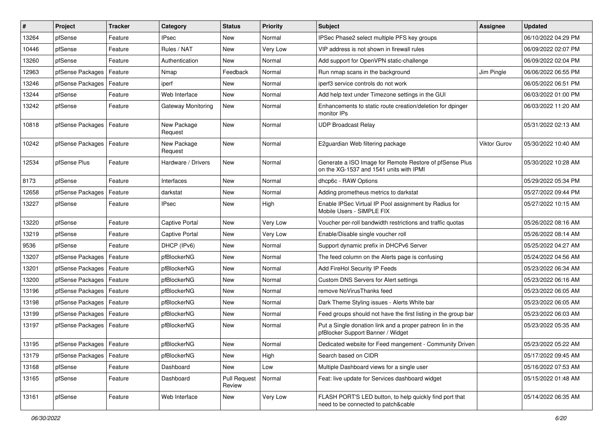| ∦     | Project                    | <b>Tracker</b> | Category               | <b>Status</b>                 | <b>Priority</b> | <b>Subject</b>                                                                                     | Assignee            | <b>Updated</b>      |
|-------|----------------------------|----------------|------------------------|-------------------------------|-----------------|----------------------------------------------------------------------------------------------------|---------------------|---------------------|
| 13264 | pfSense                    | Feature        | <b>IPsec</b>           | New                           | Normal          | IPSec Phase2 select multiple PFS key groups                                                        |                     | 06/10/2022 04:29 PM |
| 10446 | pfSense                    | Feature        | Rules / NAT            | New                           | Very Low        | VIP address is not shown in firewall rules                                                         |                     | 06/09/2022 02:07 PM |
| 13260 | pfSense                    | Feature        | Authentication         | New                           | Normal          | Add support for OpenVPN static-challenge                                                           |                     | 06/09/2022 02:04 PM |
| 12963 | pfSense Packages           | Feature        | Nmap                   | Feedback                      | Normal          | Run nmap scans in the background                                                                   | Jim Pingle          | 06/06/2022 06:55 PM |
| 13246 | pfSense Packages           | Feature        | iperf                  | <b>New</b>                    | Normal          | iperf3 service controls do not work                                                                |                     | 06/05/2022 06:51 PM |
| 13244 | pfSense                    | Feature        | Web Interface          | New                           | Normal          | Add help text under Timezone settings in the GUI                                                   |                     | 06/03/2022 01:00 PM |
| 13242 | pfSense                    | Feature        | Gateway Monitoring     | New                           | Normal          | Enhancements to static route creation/deletion for dpinger<br>monitor IPs                          |                     | 06/03/2022 11:20 AM |
| 10818 | pfSense Packages           | Feature        | New Package<br>Request | New                           | Normal          | <b>UDP Broadcast Relay</b>                                                                         |                     | 05/31/2022 02:13 AM |
| 10242 | pfSense Packages           | Feature        | New Package<br>Request | <b>New</b>                    | Normal          | E2guardian Web filtering package                                                                   | <b>Viktor Gurov</b> | 05/30/2022 10:40 AM |
| 12534 | pfSense Plus               | Feature        | Hardware / Drivers     | <b>New</b>                    | Normal          | Generate a ISO Image for Remote Restore of pfSense Plus<br>on the XG-1537 and 1541 units with IPMI |                     | 05/30/2022 10:28 AM |
| 8173  | pfSense                    | Feature        | Interfaces             | <b>New</b>                    | Normal          | dhcp6c - RAW Options                                                                               |                     | 05/29/2022 05:34 PM |
| 12658 | pfSense Packages           | Feature        | darkstat               | <b>New</b>                    | Normal          | Adding prometheus metrics to darkstat                                                              |                     | 05/27/2022 09:44 PM |
| 13227 | pfSense                    | Feature        | <b>IPsec</b>           | New                           | High            | Enable IPSec Virtual IP Pool assignment by Radius for<br>Mobile Users - SIMPLE FIX                 |                     | 05/27/2022 10:15 AM |
| 13220 | pfSense                    | Feature        | <b>Captive Portal</b>  | <b>New</b>                    | Very Low        | Voucher per-roll bandwidth restrictions and traffic quotas                                         |                     | 05/26/2022 08:16 AM |
| 13219 | pfSense                    | Feature        | <b>Captive Portal</b>  | New                           | Very Low        | Enable/Disable single voucher roll                                                                 |                     | 05/26/2022 08:14 AM |
| 9536  | pfSense                    | Feature        | DHCP (IPv6)            | <b>New</b>                    | Normal          | Support dynamic prefix in DHCPv6 Server                                                            |                     | 05/25/2022 04:27 AM |
| 13207 | pfSense Packages           | Feature        | pfBlockerNG            | New                           | Normal          | The feed column on the Alerts page is confusing                                                    |                     | 05/24/2022 04:56 AM |
| 13201 | pfSense Packages   Feature |                | pfBlockerNG            | New                           | Normal          | Add FireHol Security IP Feeds                                                                      |                     | 05/23/2022 06:34 AM |
| 13200 | pfSense Packages           | Feature        | pfBlockerNG            | <b>New</b>                    | Normal          | Custom DNS Servers for Alert settings                                                              |                     | 05/23/2022 06:16 AM |
| 13196 | pfSense Packages           | Feature        | pfBlockerNG            | New                           | Normal          | remove NoVirusThanks feed                                                                          |                     | 05/23/2022 06:05 AM |
| 13198 | pfSense Packages           | Feature        | pfBlockerNG            | New                           | Normal          | Dark Theme Styling issues - Alerts White bar                                                       |                     | 05/23/2022 06:05 AM |
| 13199 | pfSense Packages           | Feature        | pfBlockerNG            | New                           | Normal          | Feed groups should not have the first listing in the group bar                                     |                     | 05/23/2022 06:03 AM |
| 13197 | pfSense Packages           | Feature        | pfBlockerNG            | New                           | Normal          | Put a Single donation link and a proper patreon lin in the<br>pfBlocker Support Banner / Widget    |                     | 05/23/2022 05:35 AM |
| 13195 | pfSense Packages   Feature |                | pfBlockerNG            | New                           | Normal          | Dedicated website for Feed mangement - Community Driven                                            |                     | 05/23/2022 05:22 AM |
| 13179 | pfSense Packages           | Feature        | pfBlockerNG            | New                           | High            | Search based on CIDR                                                                               |                     | 05/17/2022 09:45 AM |
| 13168 | pfSense                    | Feature        | Dashboard              | New                           | Low             | Multiple Dashboard views for a single user                                                         |                     | 05/16/2022 07:53 AM |
| 13165 | pfSense                    | Feature        | Dashboard              | <b>Pull Request</b><br>Review | Normal          | Feat: live update for Services dashboard widget                                                    |                     | 05/15/2022 01:48 AM |
| 13161 | pfSense                    | Feature        | Web Interface          | New                           | Very Low        | FLASH PORT'S LED button, to help quickly find port that<br>need to be connected to patch&cable     |                     | 05/14/2022 06:35 AM |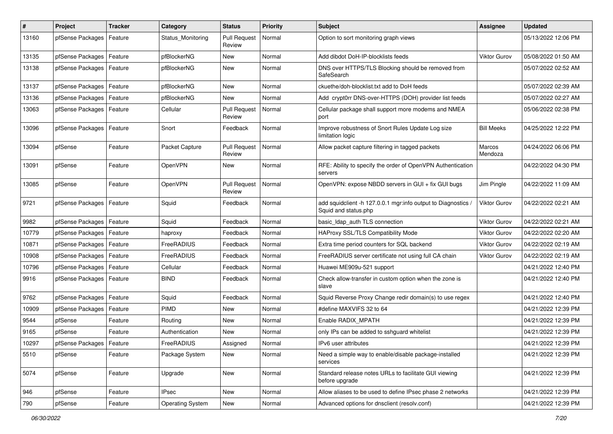| #     | Project                    | <b>Tracker</b> | Category                | <b>Status</b>                 | <b>Priority</b> | <b>Subject</b>                                                                      | Assignee            | <b>Updated</b>      |
|-------|----------------------------|----------------|-------------------------|-------------------------------|-----------------|-------------------------------------------------------------------------------------|---------------------|---------------------|
| 13160 | pfSense Packages           | Feature        | Status Monitoring       | <b>Pull Request</b><br>Review | Normal          | Option to sort monitoring graph views                                               |                     | 05/13/2022 12:06 PM |
| 13135 | pfSense Packages           | Feature        | pfBlockerNG             | <b>New</b>                    | Normal          | Add dibdot DoH-IP-blocklists feeds                                                  | <b>Viktor Gurov</b> | 05/08/2022 01:50 AM |
| 13138 | pfSense Packages           | Feature        | pfBlockerNG             | <b>New</b>                    | Normal          | DNS over HTTPS/TLS Blocking should be removed from<br>SafeSearch                    |                     | 05/07/2022 02:52 AM |
| 13137 | pfSense Packages           | Feature        | pfBlockerNG             | New                           | Normal          | ckuethe/doh-blocklist.txt add to DoH feeds                                          |                     | 05/07/2022 02:39 AM |
| 13136 | pfSense Packages           | Feature        | pfBlockerNG             | New                           | Normal          | Add crypt0rr DNS-over-HTTPS (DOH) provider list feeds                               |                     | 05/07/2022 02:27 AM |
| 13063 | pfSense Packages           | Feature        | Cellular                | <b>Pull Request</b><br>Review | Normal          | Cellular package shall support more modems and NMEA<br>port                         |                     | 05/06/2022 02:38 PM |
| 13096 | pfSense Packages   Feature |                | Snort                   | Feedback                      | Normal          | Improve robustness of Snort Rules Update Log size<br>limitation logic               | <b>Bill Meeks</b>   | 04/25/2022 12:22 PM |
| 13094 | pfSense                    | Feature        | Packet Capture          | <b>Pull Request</b><br>Review | Normal          | Allow packet capture filtering in tagged packets                                    | Marcos<br>Mendoza   | 04/24/2022 06:06 PM |
| 13091 | pfSense                    | Feature        | OpenVPN                 | New                           | Normal          | RFE: Ability to specify the order of OpenVPN Authentication<br>servers              |                     | 04/22/2022 04:30 PM |
| 13085 | pfSense                    | Feature        | OpenVPN                 | <b>Pull Request</b><br>Review | Normal          | OpenVPN: expose NBDD servers in GUI + fix GUI bugs                                  | Jim Pingle          | 04/22/2022 11:09 AM |
| 9721  | pfSense Packages   Feature |                | Squid                   | Feedback                      | Normal          | add squidclient -h 127.0.0.1 mgr:info output to Diagnostics<br>Squid and status.php | <b>Viktor Gurov</b> | 04/22/2022 02:21 AM |
| 9982  | pfSense Packages           | Feature        | Squid                   | Feedback                      | Normal          | basic Idap auth TLS connection                                                      | <b>Viktor Gurov</b> | 04/22/2022 02:21 AM |
| 10779 | pfSense Packages   Feature |                | haproxy                 | Feedback                      | Normal          | HAProxy SSL/TLS Compatibility Mode                                                  | <b>Viktor Gurov</b> | 04/22/2022 02:20 AM |
| 10871 | pfSense Packages           | Feature        | FreeRADIUS              | Feedback                      | Normal          | Extra time period counters for SQL backend                                          | <b>Viktor Gurov</b> | 04/22/2022 02:19 AM |
| 10908 | pfSense Packages           | Feature        | FreeRADIUS              | Feedback                      | Normal          | FreeRADIUS server certificate not using full CA chain                               | <b>Viktor Gurov</b> | 04/22/2022 02:19 AM |
| 10796 | pfSense Packages           | Feature        | Cellular                | Feedback                      | Normal          | Huawei ME909u-521 support                                                           |                     | 04/21/2022 12:40 PM |
| 9916  | pfSense Packages           | Feature        | <b>BIND</b>             | Feedback                      | Normal          | Check allow-transfer in custom option when the zone is<br>slave                     |                     | 04/21/2022 12:40 PM |
| 9762  | pfSense Packages           | Feature        | Squid                   | Feedback                      | Normal          | Squid Reverse Proxy Change redir domain(s) to use regex                             |                     | 04/21/2022 12:40 PM |
| 10909 | pfSense Packages           | Feature        | PIMD                    | New                           | Normal          | #define MAXVIFS 32 to 64                                                            |                     | 04/21/2022 12:39 PM |
| 9544  | pfSense                    | Feature        | Routing                 | New                           | Normal          | Enable RADIX MPATH                                                                  |                     | 04/21/2022 12:39 PM |
| 9165  | pfSense                    | Feature        | Authentication          | New                           | Normal          | only IPs can be added to sshquard whitelist                                         |                     | 04/21/2022 12:39 PM |
| 10297 | pfSense Packages   Feature |                | FreeRADIUS              | Assigned                      | Normal          | IPv6 user attributes                                                                |                     | 04/21/2022 12:39 PM |
| 5510  | pfSense                    | Feature        | Package System          | New                           | Normal          | Need a simple way to enable/disable package-installed<br>services                   |                     | 04/21/2022 12:39 PM |
| 5074  | pfSense                    | Feature        | Upgrade                 | New                           | Normal          | Standard release notes URLs to facilitate GUI viewing<br>before upgrade             |                     | 04/21/2022 12:39 PM |
| 946   | pfSense                    | Feature        | <b>IPsec</b>            | New                           | Normal          | Allow aliases to be used to define IPsec phase 2 networks                           |                     | 04/21/2022 12:39 PM |
| 790   | pfSense                    | Feature        | <b>Operating System</b> | New                           | Normal          | Advanced options for dnsclient (resolv.conf)                                        |                     | 04/21/2022 12:39 PM |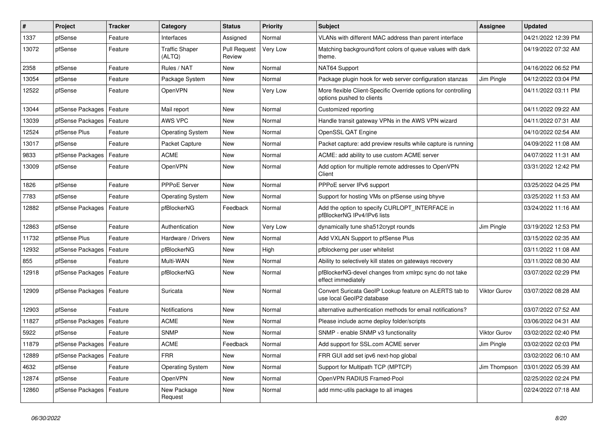| #     | Project                    | Tracker | Category                        | <b>Status</b>                 | Priority | <b>Subject</b>                                                                              | Assignee            | <b>Updated</b>      |
|-------|----------------------------|---------|---------------------------------|-------------------------------|----------|---------------------------------------------------------------------------------------------|---------------------|---------------------|
| 1337  | pfSense                    | Feature | Interfaces                      | Assigned                      | Normal   | VLANs with different MAC address than parent interface                                      |                     | 04/21/2022 12:39 PM |
| 13072 | pfSense                    | Feature | <b>Traffic Shaper</b><br>(ALTQ) | <b>Pull Request</b><br>Review | Very Low | Matching background/font colors of queue values with dark<br>theme.                         |                     | 04/19/2022 07:32 AM |
| 2358  | pfSense                    | Feature | Rules / NAT                     | <b>New</b>                    | Normal   | NAT64 Support                                                                               |                     | 04/16/2022 06:52 PM |
| 13054 | pfSense                    | Feature | Package System                  | <b>New</b>                    | Normal   | Package plugin hook for web server configuration stanzas                                    | Jim Pingle          | 04/12/2022 03:04 PM |
| 12522 | pfSense                    | Feature | OpenVPN                         | <b>New</b>                    | Very Low | More flexible Client-Specific Override options for controlling<br>options pushed to clients |                     | 04/11/2022 03:11 PM |
| 13044 | pfSense Packages           | Feature | Mail report                     | <b>New</b>                    | Normal   | Customized reporting                                                                        |                     | 04/11/2022 09:22 AM |
| 13039 | pfSense Packages           | Feature | AWS VPC                         | <b>New</b>                    | Normal   | Handle transit gateway VPNs in the AWS VPN wizard                                           |                     | 04/11/2022 07:31 AM |
| 12524 | pfSense Plus               | Feature | <b>Operating System</b>         | <b>New</b>                    | Normal   | OpenSSL QAT Engine                                                                          |                     | 04/10/2022 02:54 AM |
| 13017 | pfSense                    | Feature | Packet Capture                  | New                           | Normal   | Packet capture: add preview results while capture is running                                |                     | 04/09/2022 11:08 AM |
| 9833  | pfSense Packages   Feature |         | <b>ACME</b>                     | <b>New</b>                    | Normal   | ACME: add ability to use custom ACME server                                                 |                     | 04/07/2022 11:31 AM |
| 13009 | pfSense                    | Feature | OpenVPN                         | <b>New</b>                    | Normal   | Add option for multiple remote addresses to OpenVPN<br>Client                               |                     | 03/31/2022 12:42 PM |
| 1826  | pfSense                    | Feature | PPPoE Server                    | <b>New</b>                    | Normal   | PPPoE server IPv6 support                                                                   |                     | 03/25/2022 04:25 PM |
| 7783  | pfSense                    | Feature | <b>Operating System</b>         | <b>New</b>                    | Normal   | Support for hosting VMs on pfSense using bhyve                                              |                     | 03/25/2022 11:53 AM |
| 12882 | pfSense Packages           | Feature | pfBlockerNG                     | Feedback                      | Normal   | Add the option to specify CURLOPT_INTERFACE in<br>pfBlockerNG IPv4/IPv6 lists               |                     | 03/24/2022 11:16 AM |
| 12863 | pfSense                    | Feature | Authentication                  | New                           | Very Low | dynamically tune sha512crypt rounds                                                         | Jim Pingle          | 03/19/2022 12:53 PM |
| 11732 | pfSense Plus               | Feature | Hardware / Drivers              | <b>New</b>                    | Normal   | Add VXLAN Support to pfSense Plus                                                           |                     | 03/15/2022 02:35 AM |
| 12932 | pfSense Packages           | Feature | pfBlockerNG                     | <b>New</b>                    | High     | pfblockerng per user whitelist                                                              |                     | 03/11/2022 11:08 AM |
| 855   | pfSense                    | Feature | Multi-WAN                       | <b>New</b>                    | Normal   | Ability to selectively kill states on gateways recovery                                     |                     | 03/11/2022 08:30 AM |
| 12918 | pfSense Packages   Feature |         | pfBlockerNG                     | New                           | Normal   | pfBlockerNG-devel changes from xmlrpc sync do not take<br>effect immediately                |                     | 03/07/2022 02:29 PM |
| 12909 | pfSense Packages           | Feature | Suricata                        | <b>New</b>                    | Normal   | Convert Suricata GeoIP Lookup feature on ALERTS tab to<br>use local GeoIP2 database         | Viktor Gurov        | 03/07/2022 08:28 AM |
| 12903 | pfSense                    | Feature | <b>Notifications</b>            | New                           | Normal   | alternative authentication methods for email notifications?                                 |                     | 03/07/2022 07:52 AM |
| 11827 | pfSense Packages           | Feature | <b>ACME</b>                     | <b>New</b>                    | Normal   | Please include acme deploy folder/scripts                                                   |                     | 03/06/2022 04:31 AM |
| 5922  | pfSense                    | Feature | <b>SNMP</b>                     | <b>New</b>                    | Normal   | SNMP - enable SNMP v3 functionality                                                         | <b>Viktor Gurov</b> | 03/02/2022 02:40 PM |
| 11879 | pfSense Packages   Feature |         | <b>ACME</b>                     | Feedback                      | Normal   | Add support for SSL.com ACME server                                                         | Jim Pingle          | 03/02/2022 02:03 PM |
| 12889 | pfSense Packages   Feature |         | <b>FRR</b>                      | New                           | Normal   | FRR GUI add set ipv6 next-hop global                                                        |                     | 03/02/2022 06:10 AM |
| 4632  | pfSense                    | Feature | <b>Operating System</b>         | New                           | Normal   | Support for Multipath TCP (MPTCP)                                                           | Jim Thompson        | 03/01/2022 05:39 AM |
| 12874 | pfSense                    | Feature | OpenVPN                         | New                           | Normal   | OpenVPN RADIUS Framed-Pool                                                                  |                     | 02/25/2022 02:24 PM |
| 12860 | pfSense Packages   Feature |         | New Package<br>Request          | New                           | Normal   | add mmc-utils package to all images                                                         |                     | 02/24/2022 07:18 AM |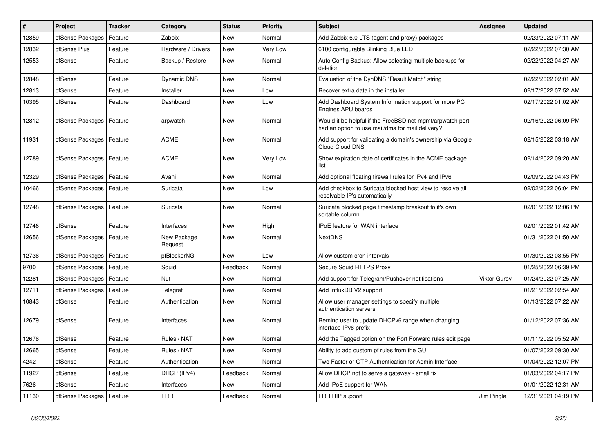| ∦     | Project                    | <b>Tracker</b> | Category               | <b>Status</b> | <b>Priority</b> | <b>Subject</b>                                                                                                | Assignee            | <b>Updated</b>      |
|-------|----------------------------|----------------|------------------------|---------------|-----------------|---------------------------------------------------------------------------------------------------------------|---------------------|---------------------|
| 12859 | pfSense Packages           | Feature        | Zabbix                 | <b>New</b>    | Normal          | Add Zabbix 6.0 LTS (agent and proxy) packages                                                                 |                     | 02/23/2022 07:11 AM |
| 12832 | pfSense Plus               | Feature        | Hardware / Drivers     | New           | Very Low        | 6100 configurable Blinking Blue LED                                                                           |                     | 02/22/2022 07:30 AM |
| 12553 | pfSense                    | Feature        | Backup / Restore       | <b>New</b>    | Normal          | Auto Config Backup: Allow selecting multiple backups for<br>deletion                                          |                     | 02/22/2022 04:27 AM |
| 12848 | pfSense                    | Feature        | Dynamic DNS            | New           | Normal          | Evaluation of the DynDNS "Result Match" string                                                                |                     | 02/22/2022 02:01 AM |
| 12813 | pfSense                    | Feature        | Installer              | New           | Low             | Recover extra data in the installer                                                                           |                     | 02/17/2022 07:52 AM |
| 10395 | pfSense                    | Feature        | Dashboard              | <b>New</b>    | Low             | Add Dashboard System Information support for more PC<br>Engines APU boards                                    |                     | 02/17/2022 01:02 AM |
| 12812 | pfSense Packages           | Feature        | arpwatch               | <b>New</b>    | Normal          | Would it be helpful if the FreeBSD net-mgmt/arpwatch port<br>had an option to use mail/dma for mail delivery? |                     | 02/16/2022 06:09 PM |
| 11931 | pfSense Packages           | Feature        | <b>ACME</b>            | <b>New</b>    | Normal          | Add support for validating a domain's ownership via Google<br>Cloud Cloud DNS                                 |                     | 02/15/2022 03:18 AM |
| 12789 | pfSense Packages           | Feature        | <b>ACME</b>            | New           | Very Low        | Show expiration date of certificates in the ACME package<br>list                                              |                     | 02/14/2022 09:20 AM |
| 12329 | pfSense Packages           | Feature        | Avahi                  | <b>New</b>    | Normal          | Add optional floating firewall rules for IPv4 and IPv6                                                        |                     | 02/09/2022 04:43 PM |
| 10466 | pfSense Packages           | Feature        | Suricata               | <b>New</b>    | Low             | Add checkbox to Suricata blocked host view to resolve all<br>resolvable IP's automatically                    |                     | 02/02/2022 06:04 PM |
| 12748 | pfSense Packages   Feature |                | Suricata               | <b>New</b>    | Normal          | Suricata blocked page timestamp breakout to it's own<br>sortable column                                       |                     | 02/01/2022 12:06 PM |
| 12746 | pfSense                    | Feature        | Interfaces             | <b>New</b>    | High            | IPoE feature for WAN interface                                                                                |                     | 02/01/2022 01:42 AM |
| 12656 | pfSense Packages           | Feature        | New Package<br>Request | New           | Normal          | <b>NextDNS</b>                                                                                                |                     | 01/31/2022 01:50 AM |
| 12736 | pfSense Packages           | Feature        | pfBlockerNG            | <b>New</b>    | Low             | Allow custom cron intervals                                                                                   |                     | 01/30/2022 08:55 PM |
| 9700  | pfSense Packages           | Feature        | Squid                  | Feedback      | Normal          | Secure Squid HTTPS Proxy                                                                                      |                     | 01/25/2022 06:39 PM |
| 12281 | pfSense Packages           | Feature        | <b>Nut</b>             | <b>New</b>    | Normal          | Add support for Telegram/Pushover notifications                                                               | <b>Viktor Gurov</b> | 01/24/2022 07:25 AM |
| 12711 | pfSense Packages           | Feature        | Telegraf               | <b>New</b>    | Normal          | Add InfluxDB V2 support                                                                                       |                     | 01/21/2022 02:54 AM |
| 10843 | pfSense                    | Feature        | Authentication         | <b>New</b>    | Normal          | Allow user manager settings to specify multiple<br>authentication servers                                     |                     | 01/13/2022 07:22 AM |
| 12679 | pfSense                    | Feature        | Interfaces             | <b>New</b>    | Normal          | Remind user to update DHCPv6 range when changing<br>interface IPv6 prefix                                     |                     | 01/12/2022 07:36 AM |
| 12676 | pfSense                    | Feature        | Rules / NAT            | <b>New</b>    | Normal          | Add the Tagged option on the Port Forward rules edit page                                                     |                     | 01/11/2022 05:52 AM |
| 12665 | pfSense                    | Feature        | Rules / NAT            | <b>New</b>    | Normal          | Ability to add custom pf rules from the GUI                                                                   |                     | 01/07/2022 09:30 AM |
| 4242  | pfSense                    | Feature        | Authentication         | New           | Normal          | Two Factor or OTP Authentication for Admin Interface                                                          |                     | 01/04/2022 12:07 PM |
| 11927 | pfSense                    | Feature        | DHCP (IPv4)            | Feedback      | Normal          | Allow DHCP not to serve a gateway - small fix                                                                 |                     | 01/03/2022 04:17 PM |
| 7626  | pfSense                    | Feature        | Interfaces             | <b>New</b>    | Normal          | Add IPoE support for WAN                                                                                      |                     | 01/01/2022 12:31 AM |
| 11130 | pfSense Packages   Feature |                | <b>FRR</b>             | Feedback      | Normal          | FRR RIP support                                                                                               | Jim Pingle          | 12/31/2021 04:19 PM |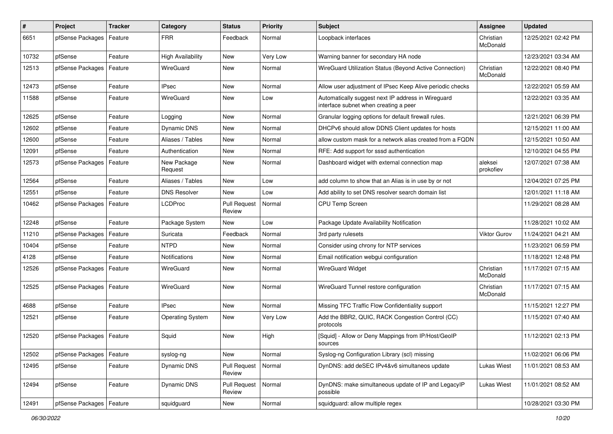| $\pmb{\#}$ | Project                    | <b>Tracker</b> | Category                | <b>Status</b>                 | <b>Priority</b> | <b>Subject</b>                                                                              | Assignee              | <b>Updated</b>      |
|------------|----------------------------|----------------|-------------------------|-------------------------------|-----------------|---------------------------------------------------------------------------------------------|-----------------------|---------------------|
| 6651       | pfSense Packages           | Feature        | <b>FRR</b>              | Feedback                      | Normal          | Loopback interfaces                                                                         | Christian<br>McDonald | 12/25/2021 02:42 PM |
| 10732      | pfSense                    | Feature        | High Availability       | <b>New</b>                    | Very Low        | Warning banner for secondary HA node                                                        |                       | 12/23/2021 03:34 AM |
| 12513      | pfSense Packages           | Feature        | WireGuard               | New                           | Normal          | WireGuard Utilization Status (Beyond Active Connection)                                     | Christian<br>McDonald | 12/22/2021 08:40 PM |
| 12473      | pfSense                    | Feature        | <b>IPsec</b>            | <b>New</b>                    | Normal          | Allow user adjustment of IPsec Keep Alive periodic checks                                   |                       | 12/22/2021 05:59 AM |
| 11588      | pfSense                    | Feature        | WireGuard               | <b>New</b>                    | Low             | Automatically suggest next IP address in Wireguard<br>interface subnet when creating a peer |                       | 12/22/2021 03:35 AM |
| 12625      | pfSense                    | Feature        | Logging                 | New                           | Normal          | Granular logging options for default firewall rules.                                        |                       | 12/21/2021 06:39 PM |
| 12602      | pfSense                    | Feature        | Dynamic DNS             | <b>New</b>                    | Normal          | DHCPv6 should allow DDNS Client updates for hosts                                           |                       | 12/15/2021 11:00 AM |
| 12600      | pfSense                    | Feature        | Aliases / Tables        | <b>New</b>                    | Normal          | allow custom mask for a network alias created from a FQDN                                   |                       | 12/15/2021 10:50 AM |
| 12091      | pfSense                    | Feature        | Authentication          | New                           | Normal          | RFE: Add support for sssd authentication                                                    |                       | 12/10/2021 04:55 PM |
| 12573      | pfSense Packages           | Feature        | New Package<br>Request  | New                           | Normal          | Dashboard widget with external connection map                                               | aleksei<br>prokofiev  | 12/07/2021 07:38 AM |
| 12564      | pfSense                    | Feature        | Aliases / Tables        | New                           | Low             | add column to show that an Alias is in use by or not                                        |                       | 12/04/2021 07:25 PM |
| 12551      | pfSense                    | Feature        | <b>DNS Resolver</b>     | New                           | Low             | Add ability to set DNS resolver search domain list                                          |                       | 12/01/2021 11:18 AM |
| 10462      | pfSense Packages           | Feature        | <b>LCDProc</b>          | <b>Pull Request</b><br>Review | Normal          | CPU Temp Screen                                                                             |                       | 11/29/2021 08:28 AM |
| 12248      | pfSense                    | Feature        | Package System          | <b>New</b>                    | Low             | Package Update Availability Notification                                                    |                       | 11/28/2021 10:02 AM |
| 11210      | pfSense Packages           | Feature        | Suricata                | Feedback                      | Normal          | 3rd party rulesets                                                                          | <b>Viktor Gurov</b>   | 11/24/2021 04:21 AM |
| 10404      | pfSense                    | Feature        | <b>NTPD</b>             | <b>New</b>                    | Normal          | Consider using chrony for NTP services                                                      |                       | 11/23/2021 06:59 PM |
| 4128       | pfSense                    | Feature        | <b>Notifications</b>    | New                           | Normal          | Email notification webgui configuration                                                     |                       | 11/18/2021 12:48 PM |
| 12526      | pfSense Packages           | Feature        | WireGuard               | <b>New</b>                    | Normal          | <b>WireGuard Widget</b>                                                                     | Christian<br>McDonald | 11/17/2021 07:15 AM |
| 12525      | pfSense Packages           | Feature        | WireGuard               | <b>New</b>                    | Normal          | WireGuard Tunnel restore configuration                                                      | Christian<br>McDonald | 11/17/2021 07:15 AM |
| 4688       | pfSense                    | Feature        | <b>IPsec</b>            | New                           | Normal          | Missing TFC Traffic Flow Confidentiality support                                            |                       | 11/15/2021 12:27 PM |
| 12521      | pfSense                    | Feature        | <b>Operating System</b> | <b>New</b>                    | Very Low        | Add the BBR2, QUIC, RACK Congestion Control (CC)<br>protocols                               |                       | 11/15/2021 07:40 AM |
| 12520      | pfSense Packages           | Feature        | Squid                   | <b>New</b>                    | High            | [Squid] - Allow or Deny Mappings from IP/Host/GeoIP<br>sources                              |                       | 11/12/2021 02:13 PM |
| 12502      | pfSense Packages           | Feature        | syslog-ng               | New                           | Normal          | Syslog-ng Configuration Library (scl) missing                                               |                       | 11/02/2021 06:06 PM |
| 12495      | pfSense                    | Feature        | Dynamic DNS             | <b>Pull Request</b><br>Review | Normal          | DynDNS: add deSEC IPv4&v6 simultaneos update                                                | Lukas Wiest           | 11/01/2021 08:53 AM |
| 12494      | pfSense                    | Feature        | Dynamic DNS             | <b>Pull Request</b><br>Review | Normal          | DynDNS: make simultaneous update of IP and LegacyIP<br>possible                             | <b>Lukas Wiest</b>    | 11/01/2021 08:52 AM |
| 12491      | pfSense Packages   Feature |                | squidguard              | New                           | Normal          | squidguard: allow multiple regex                                                            |                       | 10/28/2021 03:30 PM |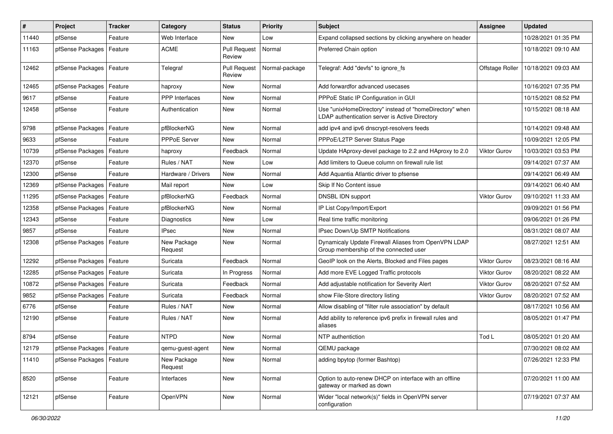| #     | Project                    | <b>Tracker</b> | Category               | <b>Status</b>                 | <b>Priority</b> | <b>Subject</b>                                                                                            | <b>Assignee</b>     | <b>Updated</b>      |
|-------|----------------------------|----------------|------------------------|-------------------------------|-----------------|-----------------------------------------------------------------------------------------------------------|---------------------|---------------------|
| 11440 | pfSense                    | Feature        | Web Interface          | New                           | Low             | Expand collapsed sections by clicking anywhere on header                                                  |                     | 10/28/2021 01:35 PM |
| 11163 | pfSense Packages   Feature |                | <b>ACME</b>            | <b>Pull Request</b><br>Review | Normal          | Preferred Chain option                                                                                    |                     | 10/18/2021 09:10 AM |
| 12462 | pfSense Packages           | Feature        | Telegraf               | <b>Pull Request</b><br>Review | Normal-package  | Telegraf: Add "devfs" to ignore fs                                                                        | Offstage Roller     | 10/18/2021 09:03 AM |
| 12465 | pfSense Packages           | Feature        | haproxy                | <b>New</b>                    | Normal          | Add forwardfor advanced usecases                                                                          |                     | 10/16/2021 07:35 PM |
| 9617  | pfSense                    | Feature        | PPP Interfaces         | New                           | Normal          | PPPoE Static IP Configuration in GUI                                                                      |                     | 10/15/2021 08:52 PM |
| 12458 | pfSense                    | Feature        | Authentication         | <b>New</b>                    | Normal          | Use "unixHomeDirectory" instead of "homeDirectory" when<br>LDAP authentication server is Active Directory |                     | 10/15/2021 08:18 AM |
| 9798  | pfSense Packages   Feature |                | pfBlockerNG            | <b>New</b>                    | Normal          | add ipv4 and ipv6 dnscrypt-resolvers feeds                                                                |                     | 10/14/2021 09:48 AM |
| 9633  | pfSense                    | Feature        | PPPoE Server           | New                           | Normal          | PPPoE/L2TP Server Status Page                                                                             |                     | 10/09/2021 12:05 PM |
| 10739 | pfSense Packages           | Feature        | haproxy                | Feedback                      | Normal          | Update HAproxy-devel package to 2.2 and HAproxy to 2.0                                                    | <b>Viktor Gurov</b> | 10/03/2021 03:53 PM |
| 12370 | pfSense                    | Feature        | Rules / NAT            | <b>New</b>                    | Low             | Add limiters to Queue column on firewall rule list                                                        |                     | 09/14/2021 07:37 AM |
| 12300 | pfSense                    | Feature        | Hardware / Drivers     | New                           | Normal          | Add Aquantia Atlantic driver to pfsense                                                                   |                     | 09/14/2021 06:49 AM |
| 12369 | pfSense Packages           | Feature        | Mail report            | New                           | Low             | Skip If No Content issue                                                                                  |                     | 09/14/2021 06:40 AM |
| 11295 | pfSense Packages           | Feature        | pfBlockerNG            | Feedback                      | Normal          | DNSBL IDN support                                                                                         | <b>Viktor Gurov</b> | 09/10/2021 11:33 AM |
| 12358 | pfSense Packages           | Feature        | pfBlockerNG            | New                           | Normal          | IP List Copy/Import/Export                                                                                |                     | 09/09/2021 01:56 PM |
| 12343 | pfSense                    | Feature        | Diagnostics            | <b>New</b>                    | Low             | Real time traffic monitoring                                                                              |                     | 09/06/2021 01:26 PM |
| 9857  | pfSense                    | Feature        | <b>IPsec</b>           | New                           | Normal          | IPsec Down/Up SMTP Notifications                                                                          |                     | 08/31/2021 08:07 AM |
| 12308 | pfSense Packages   Feature |                | New Package<br>Request | <b>New</b>                    | Normal          | Dynamicaly Update Firewall Aliases from OpenVPN LDAP<br>Group membership of the connected user            |                     | 08/27/2021 12:51 AM |
| 12292 | pfSense Packages           | Feature        | Suricata               | Feedback                      | Normal          | GeoIP look on the Alerts, Blocked and Files pages                                                         | <b>Viktor Gurov</b> | 08/23/2021 08:16 AM |
| 12285 | pfSense Packages           | Feature        | Suricata               | In Progress                   | Normal          | Add more EVE Logged Traffic protocols                                                                     | <b>Viktor Gurov</b> | 08/20/2021 08:22 AM |
| 10872 | pfSense Packages           | Feature        | Suricata               | Feedback                      | Normal          | Add adjustable notification for Severity Alert                                                            | <b>Viktor Gurov</b> | 08/20/2021 07:52 AM |
| 9852  | pfSense Packages           | Feature        | Suricata               | Feedback                      | Normal          | show File-Store directory listing                                                                         | Viktor Gurov        | 08/20/2021 07:52 AM |
| 6776  | pfSense                    | Feature        | Rules / NAT            | New                           | Normal          | Allow disabling of "filter rule association" by default                                                   |                     | 08/17/2021 10:56 AM |
| 12190 | pfSense                    | Feature        | Rules / NAT            | New                           | Normal          | Add ability to reference ipv6 prefix in firewall rules and<br>aliases                                     |                     | 08/05/2021 01:47 PM |
| 8794  | pfSense                    | Feature        | <b>NTPD</b>            | <b>New</b>                    | Normal          | NTP authentiction                                                                                         | Tod L               | 08/05/2021 01:20 AM |
| 12179 | pfSense Packages   Feature |                | qemu-guest-agent       | New                           | Normal          | QEMU package                                                                                              |                     | 07/30/2021 08:02 AM |
| 11410 | pfSense Packages   Feature |                | New Package<br>Request | New                           | Normal          | adding bpytop (former Bashtop)                                                                            |                     | 07/26/2021 12:33 PM |
| 8520  | pfSense                    | Feature        | Interfaces             | New                           | Normal          | Option to auto-renew DHCP on interface with an offline<br>gateway or marked as down                       |                     | 07/20/2021 11:00 AM |
| 12121 | pfSense                    | Feature        | OpenVPN                | New                           | Normal          | Wider "local network(s)" fields in OpenVPN server<br>configuration                                        |                     | 07/19/2021 07:37 AM |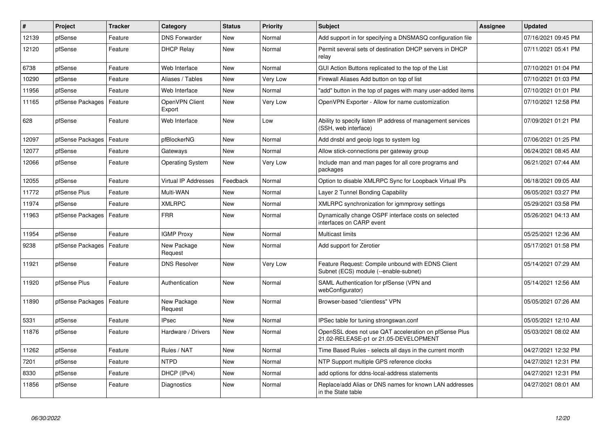| $\sharp$ | <b>Project</b>             | <b>Tracker</b> | Category                    | <b>Status</b> | <b>Priority</b> | <b>Subject</b>                                                                                 | <b>Assignee</b> | <b>Updated</b>      |
|----------|----------------------------|----------------|-----------------------------|---------------|-----------------|------------------------------------------------------------------------------------------------|-----------------|---------------------|
| 12139    | pfSense                    | Feature        | <b>DNS Forwarder</b>        | <b>New</b>    | Normal          | Add support in for specifying a DNSMASQ configuration file                                     |                 | 07/16/2021 09:45 PM |
| 12120    | pfSense                    | Feature        | <b>DHCP Relay</b>           | <b>New</b>    | Normal          | Permit several sets of destination DHCP servers in DHCP<br>relay                               |                 | 07/11/2021 05:41 PM |
| 6738     | pfSense                    | Feature        | Web Interface               | <b>New</b>    | Normal          | GUI Action Buttons replicated to the top of the List                                           |                 | 07/10/2021 01:04 PM |
| 10290    | pfSense                    | Feature        | Aliases / Tables            | <b>New</b>    | Very Low        | Firewall Aliases Add button on top of list                                                     |                 | 07/10/2021 01:03 PM |
| 11956    | pfSense                    | Feature        | Web Interface               | <b>New</b>    | Normal          | add" button in the top of pages with many user-added items                                     |                 | 07/10/2021 01:01 PM |
| 11165    | pfSense Packages           | Feature        | OpenVPN Client<br>Export    | <b>New</b>    | Very Low        | OpenVPN Exporter - Allow for name customization                                                |                 | 07/10/2021 12:58 PM |
| 628      | pfSense                    | Feature        | Web Interface               | <b>New</b>    | Low             | Ability to specify listen IP address of management services<br>(SSH, web interface)            |                 | 07/09/2021 01:21 PM |
| 12097    | pfSense Packages           | Feature        | pfBlockerNG                 | <b>New</b>    | Normal          | Add dnsbl and geoip logs to system log                                                         |                 | 07/06/2021 01:25 PM |
| 12077    | pfSense                    | Feature        | Gateways                    | <b>New</b>    | Normal          | Allow stick-connections per gateway group                                                      |                 | 06/24/2021 08:45 AM |
| 12066    | pfSense                    | Feature        | <b>Operating System</b>     | <b>New</b>    | Very Low        | Include man and man pages for all core programs and<br>packages                                |                 | 06/21/2021 07:44 AM |
| 12055    | pfSense                    | Feature        | <b>Virtual IP Addresses</b> | Feedback      | Normal          | Option to disable XMLRPC Sync for Loopback Virtual IPs                                         |                 | 06/18/2021 09:05 AM |
| 11772    | pfSense Plus               | Feature        | Multi-WAN                   | <b>New</b>    | Normal          | Layer 2 Tunnel Bonding Capability                                                              |                 | 06/05/2021 03:27 PM |
| 11974    | pfSense                    | Feature        | <b>XMLRPC</b>               | <b>New</b>    | Normal          | XMLRPC synchronization for igmmproxy settings                                                  |                 | 05/29/2021 03:58 PM |
| 11963    | pfSense Packages   Feature |                | <b>FRR</b>                  | <b>New</b>    | Normal          | Dynamically change OSPF interface costs on selected<br>interfaces on CARP event                |                 | 05/26/2021 04:13 AM |
| 11954    | pfSense                    | Feature        | <b>IGMP Proxy</b>           | <b>New</b>    | Normal          | <b>Multicast limits</b>                                                                        |                 | 05/25/2021 12:36 AM |
| 9238     | pfSense Packages   Feature |                | New Package<br>Request      | <b>New</b>    | Normal          | Add support for Zerotier                                                                       |                 | 05/17/2021 01:58 PM |
| 11921    | pfSense                    | Feature        | <b>DNS Resolver</b>         | <b>New</b>    | Very Low        | Feature Request: Compile unbound with EDNS Client<br>Subnet (ECS) module (--enable-subnet)     |                 | 05/14/2021 07:29 AM |
| 11920    | pfSense Plus               | Feature        | Authentication              | <b>New</b>    | Normal          | SAML Authentication for pfSense (VPN and<br>webConfigurator)                                   |                 | 05/14/2021 12:56 AM |
| 11890    | pfSense Packages           | Feature        | New Package<br>Request      | <b>New</b>    | Normal          | Browser-based "clientless" VPN                                                                 |                 | 05/05/2021 07:26 AM |
| 5331     | pfSense                    | Feature        | <b>IPsec</b>                | <b>New</b>    | Normal          | IPSec table for tuning strongswan.conf                                                         |                 | 05/05/2021 12:10 AM |
| 11876    | pfSense                    | Feature        | Hardware / Drivers          | <b>New</b>    | Normal          | OpenSSL does not use QAT acceleration on pfSense Plus<br>21.02-RELEASE-p1 or 21.05-DEVELOPMENT |                 | 05/03/2021 08:02 AM |
| 11262    | pfSense                    | Feature        | Rules / NAT                 | <b>New</b>    | Normal          | Time Based Rules - selects all days in the current month                                       |                 | 04/27/2021 12:32 PM |
| 7201     | pfSense                    | Feature        | <b>NTPD</b>                 | <b>New</b>    | Normal          | NTP Support multiple GPS reference clocks                                                      |                 | 04/27/2021 12:31 PM |
| 8330     | pfSense                    | Feature        | DHCP (IPv4)                 | <b>New</b>    | Normal          | add options for ddns-local-address statements                                                  |                 | 04/27/2021 12:31 PM |
| 11856    | pfSense                    | Feature        | Diagnostics                 | <b>New</b>    | Normal          | Replace/add Alias or DNS names for known LAN addresses<br>in the State table                   |                 | 04/27/2021 08:01 AM |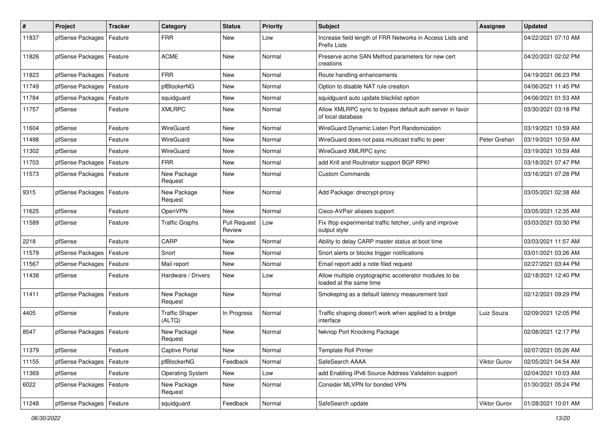| $\vert$ # | Project                    | <b>Tracker</b> | Category                        | <b>Status</b>                 | <b>Priority</b> | <b>Subject</b>                                                                    | Assignee            | <b>Updated</b>      |
|-----------|----------------------------|----------------|---------------------------------|-------------------------------|-----------------|-----------------------------------------------------------------------------------|---------------------|---------------------|
| 11837     | pfSense Packages           | Feature        | <b>FRR</b>                      | <b>New</b>                    | Low             | Increase field length of FRR Networks in Access Lists and<br><b>Prefix Lists</b>  |                     | 04/22/2021 07:10 AM |
| 11826     | pfSense Packages           | Feature        | <b>ACME</b>                     | <b>New</b>                    | Normal          | Preserve acme SAN Method parameters for new cert<br>creations                     |                     | 04/20/2021 02:02 PM |
| 11823     | pfSense Packages           | Feature        | <b>FRR</b>                      | New                           | Normal          | Route handling enhancements                                                       |                     | 04/19/2021 06:23 PM |
| 11749     | pfSense Packages           | Feature        | pfBlockerNG                     | <b>New</b>                    | Normal          | Option to disable NAT rule creation                                               |                     | 04/06/2021 11:45 PM |
| 11784     | pfSense Packages           | Feature        | squidguard                      | <b>New</b>                    | Normal          | squidquard auto update blacklist option                                           |                     | 04/06/2021 01:53 AM |
| 11757     | pfSense                    | Feature        | <b>XMLRPC</b>                   | New                           | Normal          | Allow XMLRPC sync to bypass default auth server in favor<br>of local database     |                     | 03/30/2021 03:18 PM |
| 11604     | pfSense                    | Feature        | WireGuard                       | <b>New</b>                    | Normal          | WireGuard Dynamic Listen Port Randomization                                       |                     | 03/19/2021 10:59 AM |
| 11498     | pfSense                    | Feature        | WireGuard                       | New                           | Normal          | WireGuard does not pass multicast traffic to peer                                 | Peter Grehan        | 03/19/2021 10:59 AM |
| 11302     | pfSense                    | Feature        | WireGuard                       | New                           | Normal          | WireGuard XMLRPC sync                                                             |                     | 03/19/2021 10:59 AM |
| 11703     | pfSense Packages           | Feature        | <b>FRR</b>                      | <b>New</b>                    | Normal          | add Krill and Routinator support BGP RPKI                                         |                     | 03/18/2021 07:47 PM |
| 11573     | pfSense Packages           | Feature        | New Package<br>Request          | New                           | Normal          | <b>Custom Commands</b>                                                            |                     | 03/16/2021 07:28 PM |
| 9315      | pfSense Packages           | Feature        | New Package<br>Request          | New                           | Normal          | Add Package: dnscrypt-proxy                                                       |                     | 03/05/2021 02:38 AM |
| 11625     | pfSense                    | Feature        | OpenVPN                         | <b>New</b>                    | Normal          | Cisco-AVPair aliases support                                                      |                     | 03/05/2021 12:35 AM |
| 11589     | pfSense                    | Feature        | <b>Traffic Graphs</b>           | <b>Pull Request</b><br>Review | Low             | Fix iftop experimental traffic fetcher, unify and improve<br>output style         |                     | 03/03/2021 03:30 PM |
| 2218      | pfSense                    | Feature        | CARP                            | New                           | Normal          | Ability to delay CARP master status at boot time                                  |                     | 03/03/2021 11:57 AM |
| 11579     | pfSense Packages           | Feature        | Snort                           | <b>New</b>                    | Normal          | Snort alerts or blocks trigger notifications                                      |                     | 03/01/2021 03:26 AM |
| 11567     | pfSense Packages           | Feature        | Mail report                     | New                           | Normal          | Email report add a note filed request                                             |                     | 02/27/2021 03:44 PM |
| 11438     | pfSense                    | Feature        | Hardware / Drivers              | New                           | Low             | Allow multiple cryptographic accelerator modules to be<br>loaded at the same time |                     | 02/18/2021 12:40 PM |
| 11411     | pfSense Packages   Feature |                | New Package<br>Request          | <b>New</b>                    | Normal          | Smokeping as a default latency measurement tool                                   |                     | 02/12/2021 09:29 PM |
| 4405      | pfSense                    | Feature        | <b>Traffic Shaper</b><br>(ALTQ) | In Progress                   | Normal          | Traffic shaping doesn't work when applied to a bridge<br>interface                | Luiz Souza          | 02/09/2021 12:05 PM |
| 8547      | pfSense Packages           | Feature        | New Package<br>Request          | New                           | Normal          | fwknop Port Knocking Package                                                      |                     | 02/08/2021 12:17 PM |
| 11379     | pfSense                    | Feature        | <b>Captive Portal</b>           | New                           | Normal          | <b>Template Roll Printer</b>                                                      |                     | 02/07/2021 05:26 AM |
| 11155     | pfSense Packages           | Feature        | pfBlockerNG                     | Feedback                      | Normal          | SafeSearch AAAA                                                                   | <b>Viktor Gurov</b> | 02/05/2021 04:54 AM |
| 11369     | pfSense                    | Feature        | <b>Operating System</b>         | New                           | Low             | add Enabling IPv6 Source Address Validation support                               |                     | 02/04/2021 10:03 AM |
| 6022      | pfSense Packages           | Feature        | New Package<br>Request          | New                           | Normal          | Consider MLVPN for bonded VPN                                                     |                     | 01/30/2021 05:24 PM |
| 11248     | pfSense Packages   Feature |                | squidguard                      | Feedback                      | Normal          | SafeSearch update                                                                 | Viktor Gurov        | 01/28/2021 10:01 AM |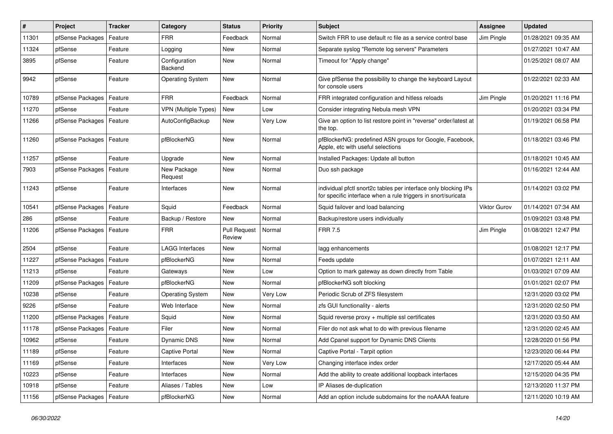| $\vert$ # | Project                    | <b>Tracker</b> | Category                        | <b>Status</b>                 | Priority | Subject                                                                                                                          | Assignee     | <b>Updated</b>      |
|-----------|----------------------------|----------------|---------------------------------|-------------------------------|----------|----------------------------------------------------------------------------------------------------------------------------------|--------------|---------------------|
| 11301     | pfSense Packages           | Feature        | <b>FRR</b>                      | Feedback                      | Normal   | Switch FRR to use default rc file as a service control base                                                                      | Jim Pingle   | 01/28/2021 09:35 AM |
| 11324     | pfSense                    | Feature        | Logging                         | <b>New</b>                    | Normal   | Separate syslog "Remote log servers" Parameters                                                                                  |              | 01/27/2021 10:47 AM |
| 3895      | pfSense                    | Feature        | Configuration<br><b>Backend</b> | New                           | Normal   | Timeout for "Apply change"                                                                                                       |              | 01/25/2021 08:07 AM |
| 9942      | pfSense                    | Feature        | <b>Operating System</b>         | <b>New</b>                    | Normal   | Give pfSense the possibility to change the keyboard Layout<br>for console users                                                  |              | 01/22/2021 02:33 AM |
| 10789     | pfSense Packages           | Feature        | <b>FRR</b>                      | Feedback                      | Normal   | FRR integrated configuration and hitless reloads                                                                                 | Jim Pingle   | 01/20/2021 11:16 PM |
| 11270     | pfSense                    | Feature        | VPN (Multiple Types)            | <b>New</b>                    | Low      | Consider integrating Nebula mesh VPN                                                                                             |              | 01/20/2021 03:34 PM |
| 11266     | pfSense Packages           | Feature        | AutoConfigBackup                | New                           | Very Low | Give an option to list restore point in "reverse" order/latest at<br>the top.                                                    |              | 01/19/2021 06:58 PM |
| 11260     | pfSense Packages           | Feature        | pfBlockerNG                     | New                           | Normal   | pfBlockerNG: predefined ASN groups for Google, Facebook,<br>Apple, etc with useful selections                                    |              | 01/18/2021 03:46 PM |
| 11257     | pfSense                    | Feature        | Upgrade                         | <b>New</b>                    | Normal   | Installed Packages: Update all button                                                                                            |              | 01/18/2021 10:45 AM |
| 7903      | pfSense Packages   Feature |                | New Package<br>Request          | <b>New</b>                    | Normal   | Duo ssh package                                                                                                                  |              | 01/16/2021 12:44 AM |
| 11243     | pfSense                    | Feature        | Interfaces                      | <b>New</b>                    | Normal   | individual pfctl snort2c tables per interface only blocking IPs<br>for specific interface when a rule triggers in snort/suricata |              | 01/14/2021 03:02 PM |
| 10541     | pfSense Packages   Feature |                | Squid                           | Feedback                      | Normal   | Squid failover and load balancing                                                                                                | Viktor Gurov | 01/14/2021 07:34 AM |
| 286       | pfSense                    | Feature        | Backup / Restore                | <b>New</b>                    | Normal   | Backup/restore users individually                                                                                                |              | 01/09/2021 03:48 PM |
| 11206     | pfSense Packages           | Feature        | <b>FRR</b>                      | <b>Pull Request</b><br>Review | Normal   | <b>FRR 7.5</b>                                                                                                                   | Jim Pingle   | 01/08/2021 12:47 PM |
| 2504      | pfSense                    | Feature        | <b>LAGG Interfaces</b>          | New                           | Normal   | lagg enhancements                                                                                                                |              | 01/08/2021 12:17 PM |
| 11227     | pfSense Packages           | Feature        | pfBlockerNG                     | <b>New</b>                    | Normal   | Feeds update                                                                                                                     |              | 01/07/2021 12:11 AM |
| 11213     | pfSense                    | Feature        | Gateways                        | <b>New</b>                    | Low      | Option to mark gateway as down directly from Table                                                                               |              | 01/03/2021 07:09 AM |
| 11209     | pfSense Packages           | Feature        | pfBlockerNG                     | <b>New</b>                    | Normal   | pfBlockerNG soft blocking                                                                                                        |              | 01/01/2021 02:07 PM |
| 10238     | pfSense                    | Feature        | <b>Operating System</b>         | <b>New</b>                    | Very Low | Periodic Scrub of ZFS filesystem                                                                                                 |              | 12/31/2020 03:02 PM |
| 9226      | pfSense                    | Feature        | Web Interface                   | <b>New</b>                    | Normal   | zfs GUI functionality - alerts                                                                                                   |              | 12/31/2020 02:50 PM |
| 11200     | pfSense Packages           | Feature        | Squid                           | <b>New</b>                    | Normal   | Squid reverse proxy + multiple ssl certificates                                                                                  |              | 12/31/2020 03:50 AM |
| 11178     | pfSense Packages           | Feature        | Filer                           | <b>New</b>                    | Normal   | Filer do not ask what to do with previous filename                                                                               |              | 12/31/2020 02:45 AM |
| 10962     | pfSense                    | Feature        | Dynamic DNS                     | <b>New</b>                    | Normal   | Add Cpanel support for Dynamic DNS Clients                                                                                       |              | 12/28/2020 01:56 PM |
| 11189     | pfSense                    | Feature        | <b>Captive Portal</b>           | New                           | Normal   | Captive Portal - Tarpit option                                                                                                   |              | 12/23/2020 06:44 PM |
| 11169     | pfSense                    | Feature        | Interfaces                      | New                           | Very Low | Changing interface index order                                                                                                   |              | 12/17/2020 05:44 AM |
| 10223     | pfSense                    | Feature        | Interfaces                      | New                           | Normal   | Add the ability to create additional loopback interfaces                                                                         |              | 12/15/2020 04:35 PM |
| 10918     | pfSense                    | Feature        | Aliases / Tables                | New                           | Low      | IP Aliases de-duplication                                                                                                        |              | 12/13/2020 11:37 PM |
| 11156     | pfSense Packages           | Feature        | pfBlockerNG                     | New                           | Normal   | Add an option include subdomains for the noAAAA feature                                                                          |              | 12/11/2020 10:19 AM |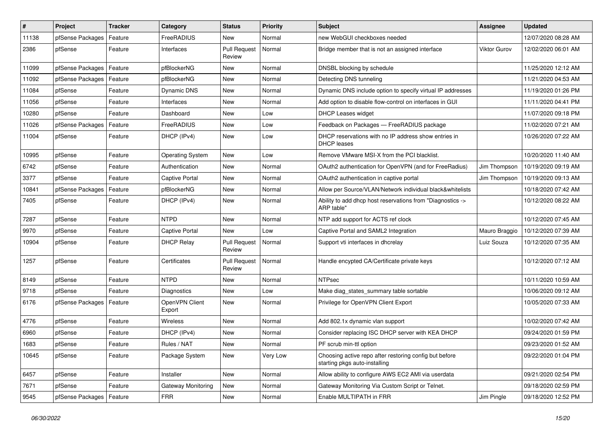| $\vert$ # | Project                    | <b>Tracker</b> | Category                 | <b>Status</b>                 | <b>Priority</b> | <b>Subject</b>                                                                          | <b>Assignee</b> | <b>Updated</b>      |
|-----------|----------------------------|----------------|--------------------------|-------------------------------|-----------------|-----------------------------------------------------------------------------------------|-----------------|---------------------|
| 11138     | pfSense Packages           | Feature        | FreeRADIUS               | New                           | Normal          | new WebGUI checkboxes needed                                                            |                 | 12/07/2020 08:28 AM |
| 2386      | pfSense                    | Feature        | Interfaces               | <b>Pull Request</b><br>Review | Normal          | Bridge member that is not an assigned interface                                         | Viktor Gurov    | 12/02/2020 06:01 AM |
| 11099     | pfSense Packages           | Feature        | pfBlockerNG              | <b>New</b>                    | Normal          | DNSBL blocking by schedule                                                              |                 | 11/25/2020 12:12 AM |
| 11092     | pfSense Packages           | Feature        | pfBlockerNG              | New                           | Normal          | Detecting DNS tunneling                                                                 |                 | 11/21/2020 04:53 AM |
| 11084     | pfSense                    | Feature        | Dynamic DNS              | <b>New</b>                    | Normal          | Dynamic DNS include option to specify virtual IP addresses                              |                 | 11/19/2020 01:26 PM |
| 11056     | pfSense                    | Feature        | Interfaces               | New                           | Normal          | Add option to disable flow-control on interfaces in GUI                                 |                 | 11/11/2020 04:41 PM |
| 10280     | pfSense                    | Feature        | Dashboard                | <b>New</b>                    | Low             | <b>DHCP Leases widget</b>                                                               |                 | 11/07/2020 09:18 PM |
| 11026     | pfSense Packages           | Feature        | FreeRADIUS               | New                           | Low             | Feedback on Packages - FreeRADIUS package                                               |                 | 11/02/2020 07:21 AM |
| 11004     | pfSense                    | Feature        | DHCP (IPv4)              | <b>New</b>                    | Low             | DHCP reservations with no IP address show entries in<br><b>DHCP</b> leases              |                 | 10/26/2020 07:22 AM |
| 10995     | pfSense                    | Feature        | <b>Operating System</b>  | <b>New</b>                    | Low             | Remove VMware MSI-X from the PCI blacklist.                                             |                 | 10/20/2020 11:40 AM |
| 6742      | pfSense                    | Feature        | Authentication           | New                           | Normal          | OAuth2 authentication for OpenVPN (and for FreeRadius)                                  | Jim Thompson    | 10/19/2020 09:19 AM |
| 3377      | pfSense                    | Feature        | <b>Captive Portal</b>    | <b>New</b>                    | Normal          | OAuth2 authentication in captive portal                                                 | Jim Thompson    | 10/19/2020 09:13 AM |
| 10841     | pfSense Packages           | Feature        | pfBlockerNG              | New                           | Normal          | Allow per Source/VLAN/Network individual black&whitelists                               |                 | 10/18/2020 07:42 AM |
| 7405      | pfSense                    | Feature        | DHCP (IPv4)              | New                           | Normal          | Ability to add dhcp host reservations from "Diagnostics -><br>ARP table"                |                 | 10/12/2020 08:22 AM |
| 7287      | pfSense                    | Feature        | <b>NTPD</b>              | <b>New</b>                    | Normal          | NTP add support for ACTS ref clock                                                      |                 | 10/12/2020 07:45 AM |
| 9970      | pfSense                    | Feature        | <b>Captive Portal</b>    | <b>New</b>                    | Low             | Captive Portal and SAML2 Integration                                                    | Mauro Braggio   | 10/12/2020 07:39 AM |
| 10904     | pfSense                    | Feature        | <b>DHCP Relay</b>        | <b>Pull Request</b><br>Review | Normal          | Support vti interfaces in dhcrelay                                                      | Luiz Souza      | 10/12/2020 07:35 AM |
| 1257      | pfSense                    | Feature        | Certificates             | <b>Pull Request</b><br>Review | Normal          | Handle encypted CA/Certificate private keys                                             |                 | 10/12/2020 07:12 AM |
| 8149      | pfSense                    | Feature        | <b>NTPD</b>              | <b>New</b>                    | Normal          | <b>NTPsec</b>                                                                           |                 | 10/11/2020 10:59 AM |
| 9718      | pfSense                    | Feature        | Diagnostics              | New                           | Low             | Make diag states summary table sortable                                                 |                 | 10/06/2020 09:12 AM |
| 6176      | pfSense Packages   Feature |                | OpenVPN Client<br>Export | <b>New</b>                    | Normal          | Privilege for OpenVPN Client Export                                                     |                 | 10/05/2020 07:33 AM |
| 4776      | pfSense                    | Feature        | Wireless                 | <b>New</b>                    | Normal          | Add 802.1x dynamic vlan support                                                         |                 | 10/02/2020 07:42 AM |
| 6960      | pfSense                    | Feature        | DHCP (IPv4)              | New                           | Normal          | Consider replacing ISC DHCP server with KEA DHCP                                        |                 | 09/24/2020 01:59 PM |
| 1683      | pfSense                    | Feature        | Rules / NAT              | New                           | Normal          | PF scrub min-ttl option                                                                 |                 | 09/23/2020 01:52 AM |
| 10645     | pfSense                    | Feature        | Package System           | New                           | Very Low        | Choosing active repo after restoring config but before<br>starting pkgs auto-installing |                 | 09/22/2020 01:04 PM |
| 6457      | pfSense                    | Feature        | Installer                | New                           | Normal          | Allow ability to configure AWS EC2 AMI via userdata                                     |                 | 09/21/2020 02:54 PM |
| 7671      | pfSense                    | Feature        | Gateway Monitoring       | New                           | Normal          | Gateway Monitoring Via Custom Script or Telnet.                                         |                 | 09/18/2020 02:59 PM |
| 9545      | pfSense Packages           | Feature        | <b>FRR</b>               | New                           | Normal          | Enable MULTIPATH in FRR                                                                 | Jim Pingle      | 09/18/2020 12:52 PM |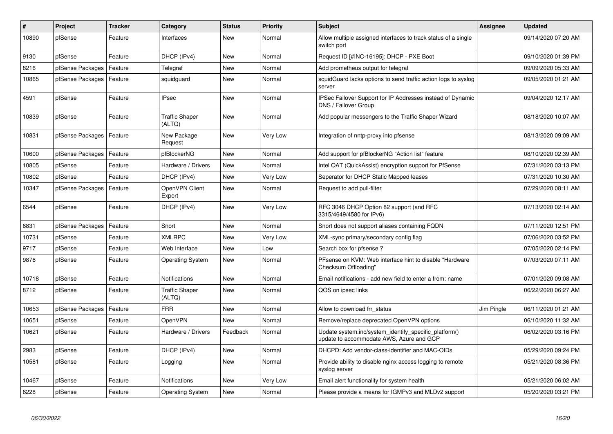| $\sharp$ | Project                    | <b>Tracker</b> | Category                        | <b>Status</b> | <b>Priority</b> | <b>Subject</b>                                                                                    | Assignee   | <b>Updated</b>      |
|----------|----------------------------|----------------|---------------------------------|---------------|-----------------|---------------------------------------------------------------------------------------------------|------------|---------------------|
| 10890    | pfSense                    | Feature        | Interfaces                      | <b>New</b>    | Normal          | Allow multiple assigned interfaces to track status of a single<br>switch port                     |            | 09/14/2020 07:20 AM |
| 9130     | pfSense                    | Feature        | DHCP (IPv4)                     | <b>New</b>    | Normal          | Request ID [#INC-16195]: DHCP - PXE Boot                                                          |            | 09/10/2020 01:39 PM |
| 8216     | pfSense Packages           | Feature        | Telegraf                        | <b>New</b>    | Normal          | Add prometheus output for telegraf                                                                |            | 09/09/2020 05:33 AM |
| 10865    | pfSense Packages           | Feature        | squidguard                      | <b>New</b>    | Normal          | squidGuard lacks options to send traffic action logs to syslog<br>server                          |            | 09/05/2020 01:21 AM |
| 4591     | pfSense                    | Feature        | <b>IPsec</b>                    | <b>New</b>    | Normal          | IPSec Failover Support for IP Addresses instead of Dynamic<br>DNS / Failover Group                |            | 09/04/2020 12:17 AM |
| 10839    | pfSense                    | Feature        | <b>Traffic Shaper</b><br>(ALTQ) | <b>New</b>    | Normal          | Add popular messengers to the Traffic Shaper Wizard                                               |            | 08/18/2020 10:07 AM |
| 10831    | pfSense Packages   Feature |                | New Package<br>Request          | <b>New</b>    | Very Low        | Integration of nntp-proxy into pfsense                                                            |            | 08/13/2020 09:09 AM |
| 10600    | pfSense Packages           | Feature        | pfBlockerNG                     | <b>New</b>    | Normal          | Add support for pfBlockerNG "Action list" feature                                                 |            | 08/10/2020 02:39 AM |
| 10805    | pfSense                    | Feature        | Hardware / Drivers              | <b>New</b>    | Normal          | Intel QAT (QuickAssist) encryption support for PfSense                                            |            | 07/31/2020 03:13 PM |
| 10802    | pfSense                    | Feature        | DHCP (IPv4)                     | <b>New</b>    | Very Low        | Seperator for DHCP Static Mapped leases                                                           |            | 07/31/2020 10:30 AM |
| 10347    | pfSense Packages           | Feature        | OpenVPN Client<br>Export        | <b>New</b>    | Normal          | Request to add pull-filter                                                                        |            | 07/29/2020 08:11 AM |
| 6544     | pfSense                    | Feature        | DHCP (IPv4)                     | <b>New</b>    | Very Low        | RFC 3046 DHCP Option 82 support (and RFC<br>3315/4649/4580 for IPv6)                              |            | 07/13/2020 02:14 AM |
| 6831     | pfSense Packages           | Feature        | Snort                           | <b>New</b>    | Normal          | Snort does not support aliases containing FQDN                                                    |            | 07/11/2020 12:51 PM |
| 10731    | pfSense                    | Feature        | <b>XMLRPC</b>                   | <b>New</b>    | Very Low        | XML-sync primary/secondary config flag                                                            |            | 07/06/2020 03:52 PM |
| 9717     | pfSense                    | Feature        | Web Interface                   | <b>New</b>    | Low             | Search box for pfsense?                                                                           |            | 07/05/2020 02:14 PM |
| 9876     | pfSense                    | Feature        | <b>Operating System</b>         | <b>New</b>    | Normal          | PFsense on KVM: Web interface hint to disable "Hardware"<br>Checksum Offloading"                  |            | 07/03/2020 07:11 AM |
| 10718    | pfSense                    | Feature        | <b>Notifications</b>            | <b>New</b>    | Normal          | Email notifications - add new field to enter a from: name                                         |            | 07/01/2020 09:08 AM |
| 8712     | pfSense                    | Feature        | <b>Traffic Shaper</b><br>(ALTQ) | <b>New</b>    | Normal          | QOS on ipsec links                                                                                |            | 06/22/2020 06:27 AM |
| 10653    | pfSense Packages           | Feature        | <b>FRR</b>                      | <b>New</b>    | Normal          | Allow to download frr status                                                                      | Jim Pingle | 06/11/2020 01:21 AM |
| 10651    | pfSense                    | Feature        | OpenVPN                         | <b>New</b>    | Normal          | Remove/replace deprecated OpenVPN options                                                         |            | 06/10/2020 11:32 AM |
| 10621    | pfSense                    | Feature        | Hardware / Drivers              | Feedback      | Normal          | Update system.inc/system identify specific platform()<br>update to accommodate AWS, Azure and GCP |            | 06/02/2020 03:16 PM |
| 2983     | pfSense                    | Feature        | DHCP (IPv4)                     | New           | Normal          | DHCPD: Add vendor-class-identifier and MAC-OIDs                                                   |            | 05/29/2020 09:24 PM |
| 10581    | pfSense                    | Feature        | Logging                         | <b>New</b>    | Normal          | Provide ability to disable nginx access logging to remote<br>syslog server                        |            | 05/21/2020 08:36 PM |
| 10467    | pfSense                    | Feature        | <b>Notifications</b>            | <b>New</b>    | Very Low        | Email alert functionality for system health                                                       |            | 05/21/2020 06:02 AM |
| 6228     | pfSense                    | Feature        | <b>Operating System</b>         | <b>New</b>    | Normal          | Please provide a means for IGMPv3 and MLDv2 support                                               |            | 05/20/2020 03:21 PM |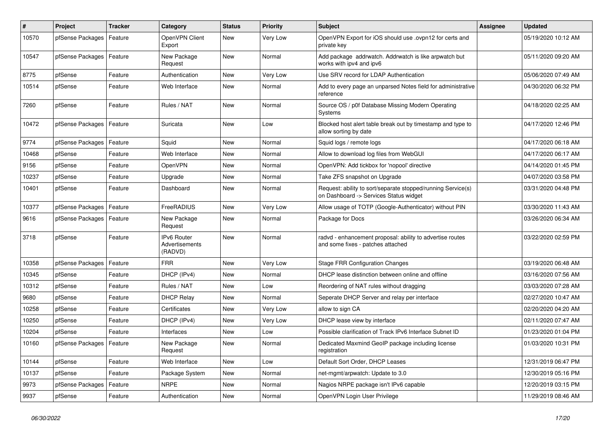| $\#$  | Project                    | <b>Tracker</b> | Category                                        | <b>Status</b> | <b>Priority</b> | <b>Subject</b>                                                                                         | Assignee | <b>Updated</b>      |
|-------|----------------------------|----------------|-------------------------------------------------|---------------|-----------------|--------------------------------------------------------------------------------------------------------|----------|---------------------|
| 10570 | pfSense Packages           | Feature        | OpenVPN Client<br>Export                        | <b>New</b>    | Very Low        | OpenVPN Export for iOS should use .ovpn12 for certs and<br>private key                                 |          | 05/19/2020 10:12 AM |
| 10547 | pfSense Packages           | Feature        | New Package<br>Request                          | <b>New</b>    | Normal          | Add package addrwatch. Addrwatch is like arpwatch but<br>works with ipv4 and ipv6                      |          | 05/11/2020 09:20 AM |
| 8775  | pfSense                    | Feature        | Authentication                                  | <b>New</b>    | Very Low        | Use SRV record for LDAP Authentication                                                                 |          | 05/06/2020 07:49 AM |
| 10514 | pfSense                    | Feature        | Web Interface                                   | <b>New</b>    | Normal          | Add to every page an unparsed Notes field for administrative<br>reference                              |          | 04/30/2020 06:32 PM |
| 7260  | pfSense                    | Feature        | Rules / NAT                                     | <b>New</b>    | Normal          | Source OS / p0f Database Missing Modern Operating<br>Systems                                           |          | 04/18/2020 02:25 AM |
| 10472 | pfSense Packages           | Feature        | Suricata                                        | <b>New</b>    | Low             | Blocked host alert table break out by timestamp and type to<br>allow sorting by date                   |          | 04/17/2020 12:46 PM |
| 9774  | pfSense Packages           | Feature        | Squid                                           | <b>New</b>    | Normal          | Squid logs / remote logs                                                                               |          | 04/17/2020 06:18 AM |
| 10468 | pfSense                    | Feature        | Web Interface                                   | <b>New</b>    | Normal          | Allow to download log files from WebGUI                                                                |          | 04/17/2020 06:17 AM |
| 9156  | pfSense                    | Feature        | OpenVPN                                         | <b>New</b>    | Normal          | OpenVPN: Add tickbox for 'nopool' directive                                                            |          | 04/14/2020 01:45 PM |
| 10237 | pfSense                    | Feature        | Upgrade                                         | <b>New</b>    | Normal          | Take ZFS snapshot on Upgrade                                                                           |          | 04/07/2020 03:58 PM |
| 10401 | pfSense                    | Feature        | Dashboard                                       | <b>New</b>    | Normal          | Request: ability to sort/separate stopped/running Service(s)<br>on Dashboard -> Services Status widget |          | 03/31/2020 04:48 PM |
| 10377 | pfSense Packages           | Feature        | FreeRADIUS                                      | <b>New</b>    | Very Low        | Allow usage of TOTP (Google-Authenticator) without PIN                                                 |          | 03/30/2020 11:43 AM |
| 9616  | pfSense Packages   Feature |                | New Package<br>Request                          | <b>New</b>    | Normal          | Package for Docs                                                                                       |          | 03/26/2020 06:34 AM |
| 3718  | pfSense                    | Feature        | <b>IPv6 Router</b><br>Advertisements<br>(RADVD) | <b>New</b>    | Normal          | radvd - enhancement proposal: ability to advertise routes<br>and some fixes - patches attached         |          | 03/22/2020 02:59 PM |
| 10358 | pfSense Packages           | Feature        | <b>FRR</b>                                      | <b>New</b>    | Very Low        | <b>Stage FRR Configuration Changes</b>                                                                 |          | 03/19/2020 06:48 AM |
| 10345 | pfSense                    | Feature        | DHCP (IPv4)                                     | <b>New</b>    | Normal          | DHCP lease distinction between online and offline                                                      |          | 03/16/2020 07:56 AM |
| 10312 | pfSense                    | Feature        | Rules / NAT                                     | <b>New</b>    | Low             | Reordering of NAT rules without dragging                                                               |          | 03/03/2020 07:28 AM |
| 9680  | pfSense                    | Feature        | <b>DHCP Relay</b>                               | <b>New</b>    | Normal          | Seperate DHCP Server and relay per interface                                                           |          | 02/27/2020 10:47 AM |
| 10258 | pfSense                    | Feature        | Certificates                                    | <b>New</b>    | Very Low        | allow to sign CA                                                                                       |          | 02/20/2020 04:20 AM |
| 10250 | pfSense                    | Feature        | DHCP (IPv4)                                     | <b>New</b>    | Very Low        | DHCP lease view by interface                                                                           |          | 02/11/2020 07:47 AM |
| 10204 | pfSense                    | Feature        | Interfaces                                      | <b>New</b>    | Low             | Possible clarification of Track IPv6 Interface Subnet ID                                               |          | 01/23/2020 01:04 PM |
| 10160 | pfSense Packages           | Feature        | New Package<br>Request                          | <b>New</b>    | Normal          | Dedicated Maxmind GeoIP package including license<br>registration                                      |          | 01/03/2020 10:31 PM |
| 10144 | pfSense                    | Feature        | Web Interface                                   | <b>New</b>    | Low             | Default Sort Order, DHCP Leases                                                                        |          | 12/31/2019 06:47 PM |
| 10137 | pfSense                    | Feature        | Package System                                  | <b>New</b>    | Normal          | net-mgmt/arpwatch: Update to 3.0                                                                       |          | 12/30/2019 05:16 PM |
| 9973  | pfSense Packages           | Feature        | <b>NRPE</b>                                     | <b>New</b>    | Normal          | Nagios NRPE package isn't IPv6 capable                                                                 |          | 12/20/2019 03:15 PM |
| 9937  | pfSense                    | Feature        | Authentication                                  | <b>New</b>    | Normal          | OpenVPN Login User Privilege                                                                           |          | 11/29/2019 08:46 AM |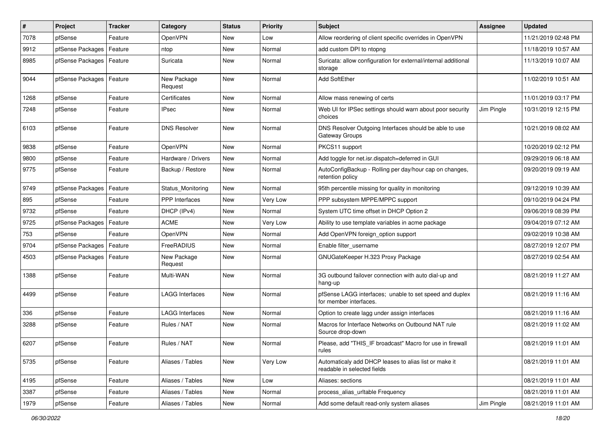| $\pmb{\#}$ | Project                    | <b>Tracker</b> | Category               | <b>Status</b> | <b>Priority</b> | <b>Subject</b>                                                                       | <b>Assignee</b> | <b>Updated</b>      |
|------------|----------------------------|----------------|------------------------|---------------|-----------------|--------------------------------------------------------------------------------------|-----------------|---------------------|
| 7078       | pfSense                    | Feature        | OpenVPN                | New           | Low             | Allow reordering of client specific overrides in OpenVPN                             |                 | 11/21/2019 02:48 PM |
| 9912       | pfSense Packages           | Feature        | ntop                   | <b>New</b>    | Normal          | add custom DPI to ntopng                                                             |                 | 11/18/2019 10:57 AM |
| 8985       | pfSense Packages           | Feature        | Suricata               | New           | Normal          | Suricata: allow configuration for external/internal additional<br>storage            |                 | 11/13/2019 10:07 AM |
| 9044       | pfSense Packages   Feature |                | New Package<br>Request | New           | Normal          | Add SoftEther                                                                        |                 | 11/02/2019 10:51 AM |
| 1268       | pfSense                    | Feature        | Certificates           | New           | Normal          | Allow mass renewing of certs                                                         |                 | 11/01/2019 03:17 PM |
| 7248       | pfSense                    | Feature        | <b>IPsec</b>           | New           | Normal          | Web UI for IPSec settings should warn about poor security<br>choices                 | Jim Pingle      | 10/31/2019 12:15 PM |
| 6103       | pfSense                    | Feature        | <b>DNS Resolver</b>    | <b>New</b>    | Normal          | DNS Resolver Outgoing Interfaces should be able to use<br>Gateway Groups             |                 | 10/21/2019 08:02 AM |
| 9838       | pfSense                    | Feature        | OpenVPN                | <b>New</b>    | Normal          | PKCS11 support                                                                       |                 | 10/20/2019 02:12 PM |
| 9800       | pfSense                    | Feature        | Hardware / Drivers     | New           | Normal          | Add toggle for net.isr.dispatch=deferred in GUI                                      |                 | 09/29/2019 06:18 AM |
| 9775       | pfSense                    | Feature        | Backup / Restore       | New           | Normal          | AutoConfigBackup - Rolling per day/hour cap on changes,<br>retention policy          |                 | 09/20/2019 09:19 AM |
| 9749       | pfSense Packages           | Feature        | Status Monitoring      | <b>New</b>    | Normal          | 95th percentile missing for quality in monitoring                                    |                 | 09/12/2019 10:39 AM |
| 895        | pfSense                    | Feature        | PPP Interfaces         | New           | Very Low        | PPP subsystem MPPE/MPPC support                                                      |                 | 09/10/2019 04:24 PM |
| 9732       | pfSense                    | Feature        | DHCP (IPv4)            | <b>New</b>    | Normal          | System UTC time offset in DHCP Option 2                                              |                 | 09/06/2019 08:39 PM |
| 9725       | pfSense Packages           | Feature        | <b>ACME</b>            | New           | Very Low        | Ability to use template variables in acme package                                    |                 | 09/04/2019 07:12 AM |
| 753        | pfSense                    | Feature        | OpenVPN                | <b>New</b>    | Normal          | Add OpenVPN foreign_option support                                                   |                 | 09/02/2019 10:38 AM |
| 9704       | pfSense Packages           | Feature        | FreeRADIUS             | New           | Normal          | Enable filter username                                                               |                 | 08/27/2019 12:07 PM |
| 4503       | pfSense Packages           | Feature        | New Package<br>Request | New           | Normal          | GNUGateKeeper H.323 Proxy Package                                                    |                 | 08/27/2019 02:54 AM |
| 1388       | pfSense                    | Feature        | Multi-WAN              | <b>New</b>    | Normal          | 3G outbound failover connection with auto dial-up and<br>hang-up                     |                 | 08/21/2019 11:27 AM |
| 4499       | pfSense                    | Feature        | <b>LAGG Interfaces</b> | <b>New</b>    | Normal          | pfSense LAGG interfaces; unable to set speed and duplex<br>for member interfaces.    |                 | 08/21/2019 11:16 AM |
| 336        | pfSense                    | Feature        | <b>LAGG Interfaces</b> | New           | Normal          | Option to create lagg under assign interfaces                                        |                 | 08/21/2019 11:16 AM |
| 3288       | pfSense                    | Feature        | Rules / NAT            | New           | Normal          | Macros for Interface Networks on Outbound NAT rule<br>Source drop-down               |                 | 08/21/2019 11:02 AM |
| 6207       | pfSense                    | Feature        | Rules / NAT            | <b>New</b>    | Normal          | Please, add "THIS IF broadcast" Macro for use in firewall<br>rules                   |                 | 08/21/2019 11:01 AM |
| 5735       | pfSense                    | Feature        | Aliases / Tables       | New           | Very Low        | Automaticaly add DHCP leases to alias list or make it<br>readable in selected fields |                 | 08/21/2019 11:01 AM |
| 4195       | pfSense                    | Feature        | Aliases / Tables       | New           | Low             | Aliases: sections                                                                    |                 | 08/21/2019 11:01 AM |
| 3387       | pfSense                    | Feature        | Aliases / Tables       | New           | Normal          | process alias urltable Frequency                                                     |                 | 08/21/2019 11:01 AM |
| 1979       | pfSense                    | Feature        | Aliases / Tables       | New           | Normal          | Add some default read-only system aliases                                            | Jim Pingle      | 08/21/2019 11:01 AM |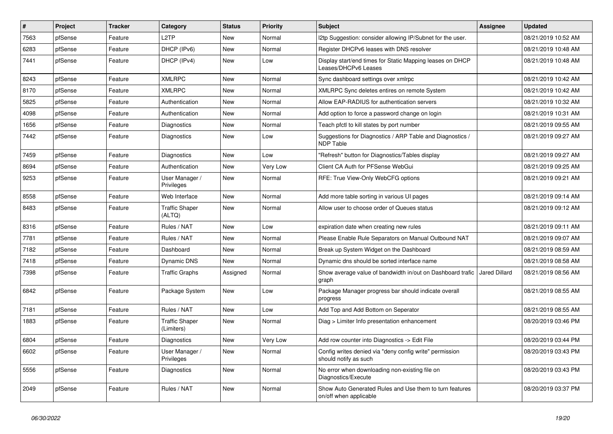| #    | Project | <b>Tracker</b> | Category                            | <b>Status</b> | <b>Priority</b> | <b>Subject</b>                                                                    | Assignee      | <b>Updated</b>      |
|------|---------|----------------|-------------------------------------|---------------|-----------------|-----------------------------------------------------------------------------------|---------------|---------------------|
| 7563 | pfSense | Feature        | L <sub>2</sub> TP                   | <b>New</b>    | Normal          | I2tp Suggestion: consider allowing IP/Subnet for the user.                        |               | 08/21/2019 10:52 AM |
| 6283 | pfSense | Feature        | DHCP (IPv6)                         | <b>New</b>    | Normal          | Register DHCPv6 leases with DNS resolver                                          |               | 08/21/2019 10:48 AM |
| 7441 | pfSense | Feature        | DHCP (IPv4)                         | <b>New</b>    | Low             | Display start/end times for Static Mapping leases on DHCP<br>Leases/DHCPv6 Leases |               | 08/21/2019 10:48 AM |
| 8243 | pfSense | Feature        | <b>XMLRPC</b>                       | <b>New</b>    | Normal          | Sync dashboard settings over xmlrpc                                               |               | 08/21/2019 10:42 AM |
| 8170 | pfSense | Feature        | <b>XMLRPC</b>                       | <b>New</b>    | Normal          | XMLRPC Sync deletes entires on remote System                                      |               | 08/21/2019 10:42 AM |
| 5825 | pfSense | Feature        | Authentication                      | <b>New</b>    | Normal          | Allow EAP-RADIUS for authentication servers                                       |               | 08/21/2019 10:32 AM |
| 4098 | pfSense | Feature        | Authentication                      | <b>New</b>    | Normal          | Add option to force a password change on login                                    |               | 08/21/2019 10:31 AM |
| 1656 | pfSense | Feature        | <b>Diagnostics</b>                  | <b>New</b>    | Normal          | Teach pfctl to kill states by port number                                         |               | 08/21/2019 09:55 AM |
| 7442 | pfSense | Feature        | Diagnostics                         | New           | Low             | Suggestions for Diagnostics / ARP Table and Diagnostics /<br><b>NDP Table</b>     |               | 08/21/2019 09:27 AM |
| 7459 | pfSense | Feature        | Diagnostics                         | <b>New</b>    | Low             | "Refresh" button for Diagnostics/Tables display                                   |               | 08/21/2019 09:27 AM |
| 8694 | pfSense | Feature        | Authentication                      | <b>New</b>    | Very Low        | Client CA Auth for PFSense WebGui                                                 |               | 08/21/2019 09:25 AM |
| 9253 | pfSense | Feature        | User Manager /<br><b>Privileges</b> | <b>New</b>    | Normal          | RFE: True View-Only WebCFG options                                                |               | 08/21/2019 09:21 AM |
| 8558 | pfSense | Feature        | Web Interface                       | <b>New</b>    | Normal          | Add more table sorting in various UI pages                                        |               | 08/21/2019 09:14 AM |
| 8483 | pfSense | Feature        | <b>Traffic Shaper</b><br>(ALTQ)     | <b>New</b>    | Normal          | Allow user to choose order of Queues status                                       |               | 08/21/2019 09:12 AM |
| 8316 | pfSense | Feature        | Rules / NAT                         | <b>New</b>    | Low             | expiration date when creating new rules                                           |               | 08/21/2019 09:11 AM |
| 7781 | pfSense | Feature        | Rules / NAT                         | <b>New</b>    | Normal          | Please Enable Rule Separators on Manual Outbound NAT                              |               | 08/21/2019 09:07 AM |
| 7182 | pfSense | Feature        | Dashboard                           | <b>New</b>    | Normal          | Break up System Widget on the Dashboard                                           |               | 08/21/2019 08:59 AM |
| 7418 | pfSense | Feature        | Dynamic DNS                         | <b>New</b>    | Normal          | Dynamic dns should be sorted interface name                                       |               | 08/21/2019 08:58 AM |
| 7398 | pfSense | Feature        | <b>Traffic Graphs</b>               | Assigned      | Normal          | Show average value of bandwidth in/out on Dashboard trafic<br>graph               | Jared Dillard | 08/21/2019 08:56 AM |
| 6842 | pfSense | Feature        | Package System                      | <b>New</b>    | Low             | Package Manager progress bar should indicate overall<br>progress                  |               | 08/21/2019 08:55 AM |
| 7181 | pfSense | Feature        | Rules / NAT                         | <b>New</b>    | Low             | Add Top and Add Bottom on Seperator                                               |               | 08/21/2019 08:55 AM |
| 1883 | pfSense | Feature        | <b>Traffic Shaper</b><br>(Limiters) | <b>New</b>    | Normal          | Diag > Limiter Info presentation enhancement                                      |               | 08/20/2019 03:46 PM |
| 6804 | pfSense | Feature        | Diagnostics                         | <b>New</b>    | Very Low        | Add row counter into Diagnostics -> Edit File                                     |               | 08/20/2019 03:44 PM |
| 6602 | pfSense | Feature        | User Manager /<br>Privileges        | <b>New</b>    | Normal          | Config writes denied via "deny config write" permission<br>should notify as such  |               | 08/20/2019 03:43 PM |
| 5556 | pfSense | Feature        | Diagnostics                         | <b>New</b>    | Normal          | No error when downloading non-existing file on<br>Diagnostics/Execute             |               | 08/20/2019 03:43 PM |
| 2049 | pfSense | Feature        | Rules / NAT                         | <b>New</b>    | Normal          | Show Auto Generated Rules and Use them to turn features<br>on/off when applicable |               | 08/20/2019 03:37 PM |